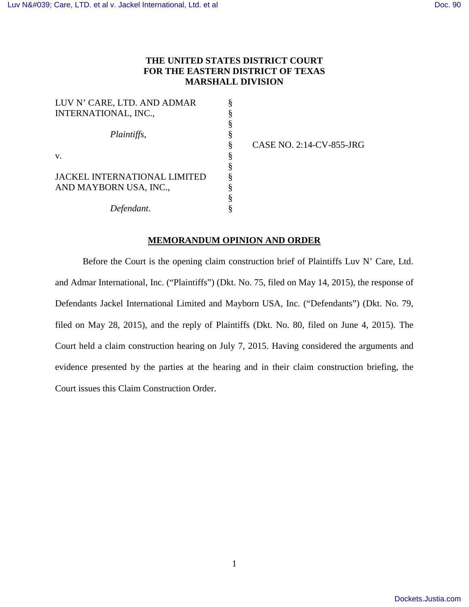# **THE UNITED STATES DISTRICT COURT FOR THE EASTERN DISTRICT OF TEXAS MARSHALL DIVISION**

§ § § § § § § § § § §

| LUV N' CARE, LTD. AND ADMAR<br>INTERNATIONAL, INC.,    |  |
|--------------------------------------------------------|--|
| <i>Plaintiffs,</i>                                     |  |
| $V_{\cdot}$                                            |  |
| JACKEL INTERNATIONAL LIMITED<br>AND MAYBORN USA, INC., |  |
| Defendant.                                             |  |

CASE NO. 2:14-CV-855-JRG

# **MEMORANDUM OPINION AND ORDER**

Before the Court is the opening claim construction brief of Plaintiffs Luv N' Care, Ltd. and Admar International, Inc. ("Plaintiffs") (Dkt. No. 75, filed on May 14, 2015), the response of Defendants Jackel International Limited and Mayborn USA, Inc. ("Defendants") (Dkt. No. 79, filed on May 28, 2015), and the reply of Plaintiffs (Dkt. No. 80, filed on June 4, 2015). The Court held a claim construction hearing on July 7, 2015. Having considered the arguments and evidence presented by the parties at the hearing and in their claim construction briefing, the Court issues this Claim Construction Order.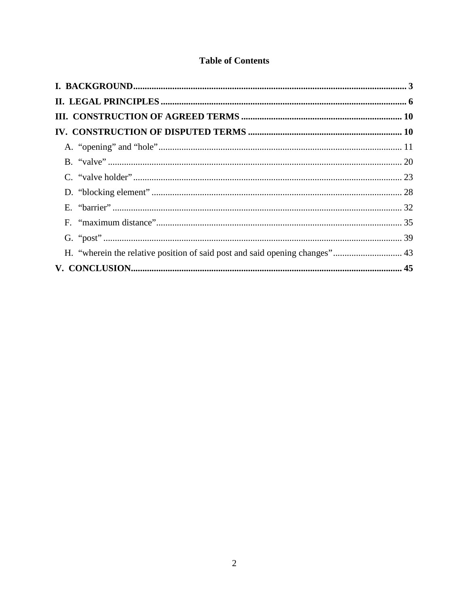# **Table of Contents**

| H. "wherein the relative position of said post and said opening changes" 43 |  |
|-----------------------------------------------------------------------------|--|
|                                                                             |  |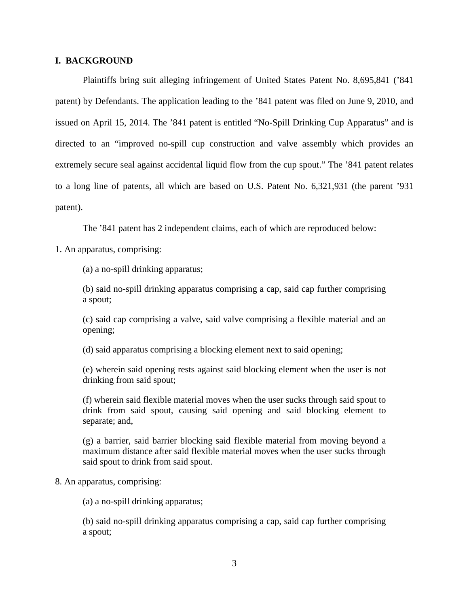## **I. BACKGROUND**

Plaintiffs bring suit alleging infringement of United States Patent No. 8,695,841 ('841 patent) by Defendants. The application leading to the '841 patent was filed on June 9, 2010, and issued on April 15, 2014. The '841 patent is entitled "No-Spill Drinking Cup Apparatus" and is directed to an "improved no-spill cup construction and valve assembly which provides an extremely secure seal against accidental liquid flow from the cup spout." The '841 patent relates to a long line of patents, all which are based on U.S. Patent No. 6,321,931 (the parent '931 patent).

The '841 patent has 2 independent claims, each of which are reproduced below:

1. An apparatus, comprising:

(a) a no-spill drinking apparatus;

(b) said no-spill drinking apparatus comprising a cap, said cap further comprising a spout;

(c) said cap comprising a valve, said valve comprising a flexible material and an opening;

(d) said apparatus comprising a blocking element next to said opening;

(e) wherein said opening rests against said blocking element when the user is not drinking from said spout;

(f) wherein said flexible material moves when the user sucks through said spout to drink from said spout, causing said opening and said blocking element to separate; and,

(g) a barrier, said barrier blocking said flexible material from moving beyond a maximum distance after said flexible material moves when the user sucks through said spout to drink from said spout.

## 8. An apparatus, comprising:

(a) a no-spill drinking apparatus;

(b) said no-spill drinking apparatus comprising a cap, said cap further comprising a spout;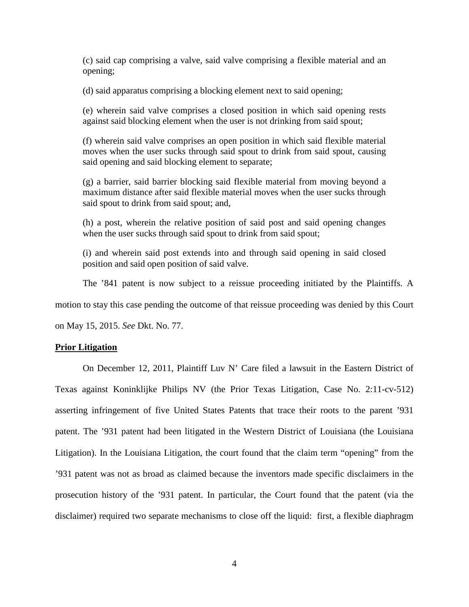(c) said cap comprising a valve, said valve comprising a flexible material and an opening;

(d) said apparatus comprising a blocking element next to said opening;

(e) wherein said valve comprises a closed position in which said opening rests against said blocking element when the user is not drinking from said spout;

(f) wherein said valve comprises an open position in which said flexible material moves when the user sucks through said spout to drink from said spout, causing said opening and said blocking element to separate;

(g) a barrier, said barrier blocking said flexible material from moving beyond a maximum distance after said flexible material moves when the user sucks through said spout to drink from said spout; and,

(h) a post, wherein the relative position of said post and said opening changes when the user sucks through said spout to drink from said spout;

(i) and wherein said post extends into and through said opening in said closed position and said open position of said valve.

The '841 patent is now subject to a reissue proceeding initiated by the Plaintiffs. A

motion to stay this case pending the outcome of that reissue proceeding was denied by this Court

on May 15, 2015. *See* Dkt. No. 77.

## **Prior Litigation**

On December 12, 2011, Plaintiff Luv N' Care filed a lawsuit in the Eastern District of Texas against Koninklijke Philips NV (the Prior Texas Litigation, Case No. 2:11-cv-512) asserting infringement of five United States Patents that trace their roots to the parent '931 patent. The '931 patent had been litigated in the Western District of Louisiana (the Louisiana Litigation). In the Louisiana Litigation, the court found that the claim term "opening" from the '931 patent was not as broad as claimed because the inventors made specific disclaimers in the prosecution history of the '931 patent. In particular, the Court found that the patent (via the disclaimer) required two separate mechanisms to close off the liquid: first, a flexible diaphragm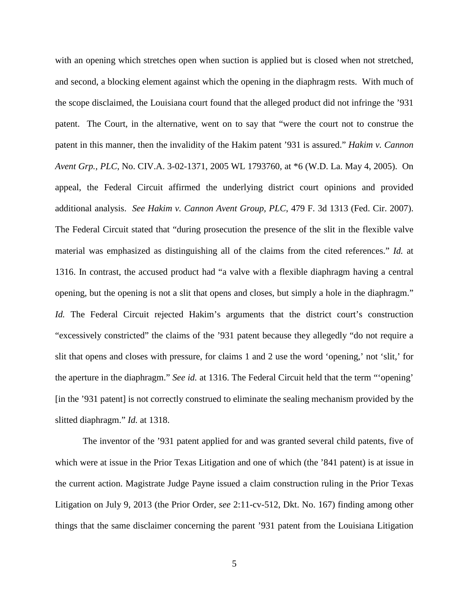with an opening which stretches open when suction is applied but is closed when not stretched, and second, a blocking element against which the opening in the diaphragm rests. With much of the scope disclaimed, the Louisiana court found that the alleged product did not infringe the '931 patent. The Court, in the alternative, went on to say that "were the court not to construe the patent in this manner, then the invalidity of the Hakim patent '931 is assured." *Hakim v. Cannon Avent Grp., PLC*, No. CIV.A. 3-02-1371, 2005 WL 1793760, at \*6 (W.D. La. May 4, 2005). On appeal, the Federal Circuit affirmed the underlying district court opinions and provided additional analysis. *See Hakim v. Cannon Avent Group, PLC*, 479 F. 3d 1313 (Fed. Cir. 2007). The Federal Circuit stated that "during prosecution the presence of the slit in the flexible valve material was emphasized as distinguishing all of the claims from the cited references." *Id.* at 1316. In contrast, the accused product had "a valve with a flexible diaphragm having a central opening, but the opening is not a slit that opens and closes, but simply a hole in the diaphragm." *Id.* The Federal Circuit rejected Hakim's arguments that the district court's construction "excessively constricted" the claims of the '931 patent because they allegedly "do not require a slit that opens and closes with pressure, for claims 1 and 2 use the word 'opening,' not 'slit,' for the aperture in the diaphragm." *See id.* at 1316. The Federal Circuit held that the term "'opening' [in the '931 patent] is not correctly construed to eliminate the sealing mechanism provided by the slitted diaphragm." *Id.* at 1318.

The inventor of the '931 patent applied for and was granted several child patents, five of which were at issue in the Prior Texas Litigation and one of which (the '841 patent) is at issue in the current action. Magistrate Judge Payne issued a claim construction ruling in the Prior Texas Litigation on July 9, 2013 (the Prior Order, *see* 2:11-cv-512, Dkt. No. 167) finding among other things that the same disclaimer concerning the parent '931 patent from the Louisiana Litigation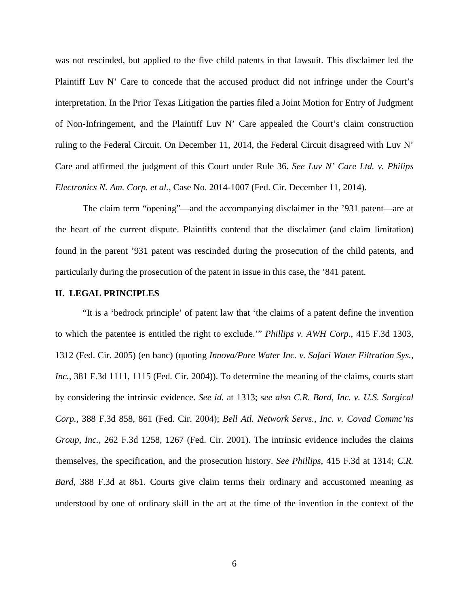was not rescinded, but applied to the five child patents in that lawsuit. This disclaimer led the Plaintiff Luv N' Care to concede that the accused product did not infringe under the Court's interpretation. In the Prior Texas Litigation the parties filed a Joint Motion for Entry of Judgment of Non-Infringement, and the Plaintiff Luv N' Care appealed the Court's claim construction ruling to the Federal Circuit. On December 11, 2014, the Federal Circuit disagreed with Luv N' Care and affirmed the judgment of this Court under Rule 36. *See Luv N' Care Ltd. v. Philips Electronics N. Am. Corp. et al.*, Case No. 2014-1007 (Fed. Cir. December 11, 2014).

The claim term "opening"—and the accompanying disclaimer in the '931 patent—are at the heart of the current dispute. Plaintiffs contend that the disclaimer (and claim limitation) found in the parent '931 patent was rescinded during the prosecution of the child patents, and particularly during the prosecution of the patent in issue in this case, the '841 patent.

#### **II. LEGAL PRINCIPLES**

"It is a 'bedrock principle' of patent law that 'the claims of a patent define the invention to which the patentee is entitled the right to exclude.'" *Phillips v. AWH Corp.*, 415 F.3d 1303, 1312 (Fed. Cir. 2005) (en banc) (quoting *Innova/Pure Water Inc. v. Safari Water Filtration Sys., Inc.*, 381 F.3d 1111, 1115 (Fed. Cir. 2004)). To determine the meaning of the claims, courts start by considering the intrinsic evidence. *See id.* at 1313; *see also C.R. Bard, Inc. v. U.S. Surgical Corp.*, 388 F.3d 858, 861 (Fed. Cir. 2004); *Bell Atl. Network Servs., Inc. v. Covad Commc'ns Group, Inc.*, 262 F.3d 1258, 1267 (Fed. Cir. 2001). The intrinsic evidence includes the claims themselves, the specification, and the prosecution history. *See Phillips*, 415 F.3d at 1314; *C.R. Bard*, 388 F.3d at 861. Courts give claim terms their ordinary and accustomed meaning as understood by one of ordinary skill in the art at the time of the invention in the context of the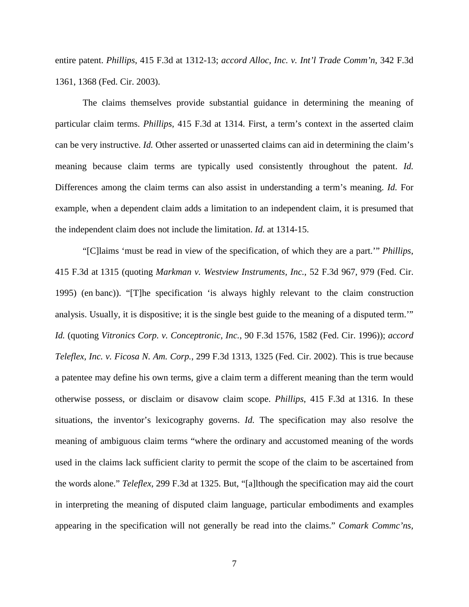entire patent. *Phillips*, 415 F.3d at 1312-13; *accord Alloc, Inc. v. Int'l Trade Comm'n*, 342 F.3d 1361, 1368 (Fed. Cir. 2003).

The claims themselves provide substantial guidance in determining the meaning of particular claim terms. *Phillips*, 415 F.3d at 1314. First, a term's context in the asserted claim can be very instructive. *Id.* Other asserted or unasserted claims can aid in determining the claim's meaning because claim terms are typically used consistently throughout the patent. *Id.* Differences among the claim terms can also assist in understanding a term's meaning. *Id.* For example, when a dependent claim adds a limitation to an independent claim, it is presumed that the independent claim does not include the limitation. *Id.* at 1314-15.

"[C]laims 'must be read in view of the specification, of which they are a part.'" *Phillips*, 415 F.3d at 1315 (quoting *Markman v. Westview Instruments, Inc.*, 52 F.3d 967, 979 (Fed. Cir. 1995) (en banc)). "[T]he specification 'is always highly relevant to the claim construction analysis. Usually, it is dispositive; it is the single best guide to the meaning of a disputed term.'" *Id.* (quoting *Vitronics Corp. v. Conceptronic, Inc.*, 90 F.3d 1576, 1582 (Fed. Cir. 1996)); *accord Teleflex, Inc. v. Ficosa N. Am. Corp.*, 299 F.3d 1313, 1325 (Fed. Cir. 2002). This is true because a patentee may define his own terms, give a claim term a different meaning than the term would otherwise possess, or disclaim or disavow claim scope. *Phillips*, 415 F.3d at 1316. In these situations, the inventor's lexicography governs. *Id.* The specification may also resolve the meaning of ambiguous claim terms "where the ordinary and accustomed meaning of the words used in the claims lack sufficient clarity to permit the scope of the claim to be ascertained from the words alone." *Teleflex*, 299 F.3d at 1325. But, "[a]lthough the specification may aid the court in interpreting the meaning of disputed claim language, particular embodiments and examples appearing in the specification will not generally be read into the claims." *Comark Commc'ns,*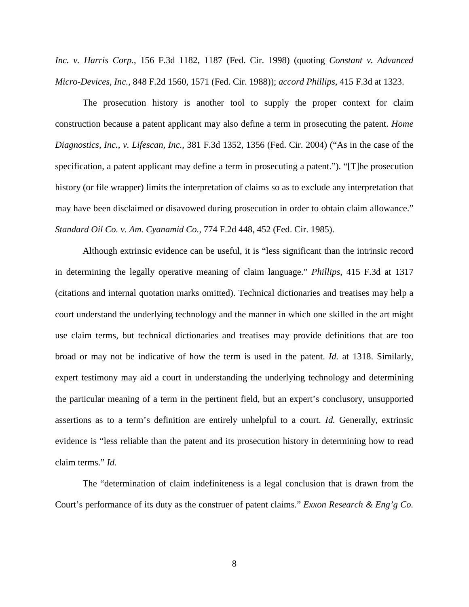*Inc. v. Harris Corp.*, 156 F.3d 1182, 1187 (Fed. Cir. 1998) (quoting *Constant v. Advanced Micro-Devices, Inc.*, 848 F.2d 1560, 1571 (Fed. Cir. 1988)); *accord Phillips*, 415 F.3d at 1323.

The prosecution history is another tool to supply the proper context for claim construction because a patent applicant may also define a term in prosecuting the patent. *Home Diagnostics, Inc., v. Lifescan, Inc.*, 381 F.3d 1352, 1356 (Fed. Cir. 2004) ("As in the case of the specification, a patent applicant may define a term in prosecuting a patent."). "[T]he prosecution history (or file wrapper) limits the interpretation of claims so as to exclude any interpretation that may have been disclaimed or disavowed during prosecution in order to obtain claim allowance." *Standard Oil Co. v. Am. Cyanamid Co.*, 774 F.2d 448, 452 (Fed. Cir. 1985).

Although extrinsic evidence can be useful, it is "less significant than the intrinsic record in determining the legally operative meaning of claim language." *Phillips*, 415 F.3d at 1317 (citations and internal quotation marks omitted). Technical dictionaries and treatises may help a court understand the underlying technology and the manner in which one skilled in the art might use claim terms, but technical dictionaries and treatises may provide definitions that are too broad or may not be indicative of how the term is used in the patent. *Id.* at 1318. Similarly, expert testimony may aid a court in understanding the underlying technology and determining the particular meaning of a term in the pertinent field, but an expert's conclusory, unsupported assertions as to a term's definition are entirely unhelpful to a court. *Id.* Generally, extrinsic evidence is "less reliable than the patent and its prosecution history in determining how to read claim terms." *Id.*

The "determination of claim indefiniteness is a legal conclusion that is drawn from the Court's performance of its duty as the construer of patent claims." *Exxon Research & Eng'g Co.*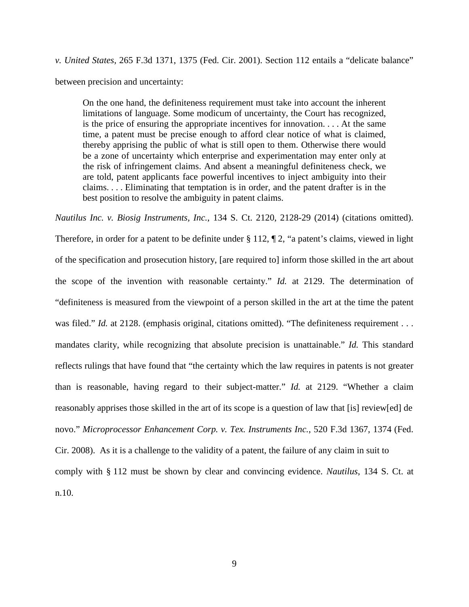*v. United States*, 265 F.3d 1371, 1375 (Fed. Cir. 2001). Section 112 entails a "delicate balance" between precision and uncertainty:

On the one hand, the definiteness requirement must take into account the inherent limitations of language. Some modicum of uncertainty, the Court has recognized, is the price of ensuring the appropriate incentives for innovation. . . . At the same time, a patent must be precise enough to afford clear notice of what is claimed, thereby apprising the public of what is still open to them. Otherwise there would be a zone of uncertainty which enterprise and experimentation may enter only at the risk of infringement claims. And absent a meaningful definiteness check, we are told, patent applicants face powerful incentives to inject ambiguity into their claims. . . . Eliminating that temptation is in order, and the patent drafter is in the best position to resolve the ambiguity in patent claims.

*Nautilus Inc. v. Biosig Instruments, Inc.*, 134 S. Ct. 2120, 2128-29 (2014) (citations omitted).

Therefore, in order for a patent to be definite under § 112, ¶ 2, "a patent's claims, viewed in light of the specification and prosecution history, [are required to] inform those skilled in the art about the scope of the invention with reasonable certainty." *Id.* at 2129. The determination of "definiteness is measured from the viewpoint of a person skilled in the art at the time the patent was filed." *Id.* at 2128. (emphasis original, citations omitted). "The definiteness requirement . . . mandates clarity, while recognizing that absolute precision is unattainable." *Id.* This standard reflects rulings that have found that "the certainty which the law requires in patents is not greater than is reasonable, having regard to their subject-matter." *Id.* at 2129. "Whether a claim reasonably apprises those skilled in the art of its scope is a question of law that [is] review[ed] de novo." *Microprocessor Enhancement Corp. v. Tex. Instruments Inc.*, 520 F.3d 1367, 1374 (Fed. Cir. 2008). As it is a challenge to the validity of a patent, the failure of any claim in suit to comply with § 112 must be shown by clear and convincing evidence. *Nautilus*, 134 S. Ct. at n.10.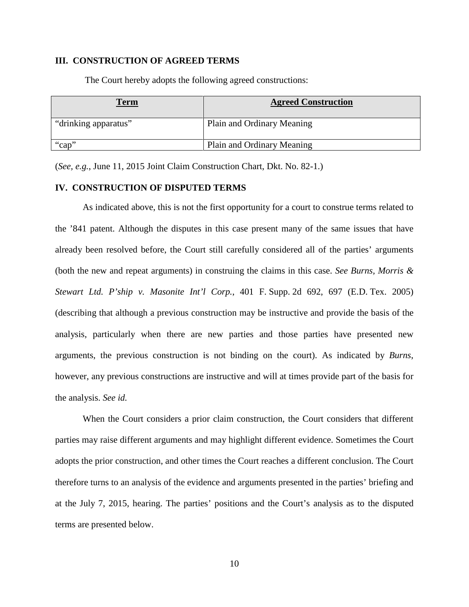## **III. CONSTRUCTION OF AGREED TERMS**

The Court hereby adopts the following agreed constructions:

| <u>Term</u>          | <b>Agreed Construction</b> |
|----------------------|----------------------------|
| "drinking apparatus" | Plain and Ordinary Meaning |
| "cap"                | Plain and Ordinary Meaning |

(*See, e.g.*, June 11, 2015 Joint Claim Construction Chart, Dkt. No. 82-1.)

## **IV. CONSTRUCTION OF DISPUTED TERMS**

As indicated above, this is not the first opportunity for a court to construe terms related to the '841 patent. Although the disputes in this case present many of the same issues that have already been resolved before, the Court still carefully considered all of the parties' arguments (both the new and repeat arguments) in construing the claims in this case. *See Burns, Morris & Stewart Ltd. P'ship v. Masonite Int'l Corp.*, 401 F. Supp. 2d 692, 697 (E.D. Tex. 2005) (describing that although a previous construction may be instructive and provide the basis of the analysis, particularly when there are new parties and those parties have presented new arguments, the previous construction is not binding on the court). As indicated by *Burns*, however, any previous constructions are instructive and will at times provide part of the basis for the analysis. *See id.*

When the Court considers a prior claim construction, the Court considers that different parties may raise different arguments and may highlight different evidence. Sometimes the Court adopts the prior construction, and other times the Court reaches a different conclusion. The Court therefore turns to an analysis of the evidence and arguments presented in the parties' briefing and at the July 7, 2015, hearing. The parties' positions and the Court's analysis as to the disputed terms are presented below.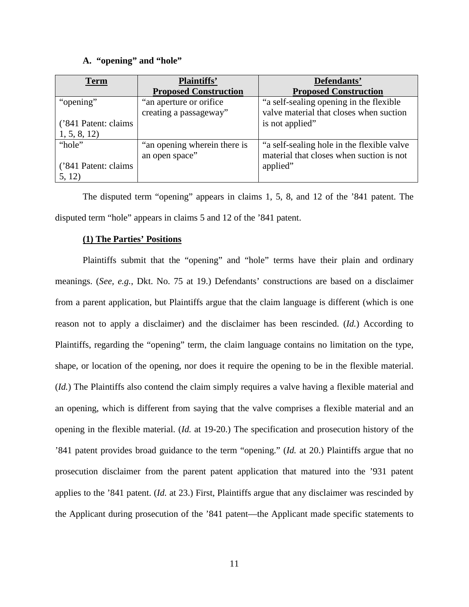#### **A. "opening" and "hole"**

| <b>Term</b>          | <b>Plaintiffs'</b>                                 | Defendants'                                                                         |
|----------------------|----------------------------------------------------|-------------------------------------------------------------------------------------|
|                      | <b>Proposed Construction</b>                       | <b>Proposed Construction</b>                                                        |
| "opening"            | "an aperture or orifice"<br>creating a passageway" | "a self-sealing opening in the flexible"<br>valve material that closes when suction |
| ('841 Patent: claims |                                                    | is not applied"                                                                     |
| 1, 5, 8, 12          |                                                    |                                                                                     |
| "hole"               | "an opening wherein there is                       | "a self-sealing hole in the flexible valve                                          |
|                      | an open space"                                     | material that closes when suction is not                                            |
| ('841 Patent: claims |                                                    | applied"                                                                            |
| 5, 12)               |                                                    |                                                                                     |

The disputed term "opening" appears in claims 1, 5, 8, and 12 of the '841 patent. The disputed term "hole" appears in claims 5 and 12 of the '841 patent.

## **(1) The Parties' Positions**

Plaintiffs submit that the "opening" and "hole" terms have their plain and ordinary meanings. (*See, e.g.*, Dkt. No. 75 at 19.) Defendants' constructions are based on a disclaimer from a parent application, but Plaintiffs argue that the claim language is different (which is one reason not to apply a disclaimer) and the disclaimer has been rescinded. (*Id.*) According to Plaintiffs, regarding the "opening" term, the claim language contains no limitation on the type, shape, or location of the opening, nor does it require the opening to be in the flexible material. (*Id.*) The Plaintiffs also contend the claim simply requires a valve having a flexible material and an opening, which is different from saying that the valve comprises a flexible material and an opening in the flexible material. (*Id.* at 19-20.) The specification and prosecution history of the '841 patent provides broad guidance to the term "opening." (*Id.* at 20.) Plaintiffs argue that no prosecution disclaimer from the parent patent application that matured into the '931 patent applies to the '841 patent. (*Id.* at 23.) First, Plaintiffs argue that any disclaimer was rescinded by the Applicant during prosecution of the '841 patent—the Applicant made specific statements to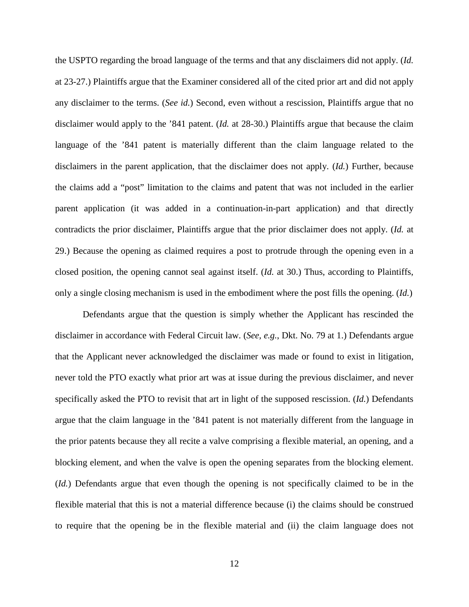the USPTO regarding the broad language of the terms and that any disclaimers did not apply. (*Id.* at 23-27.) Plaintiffs argue that the Examiner considered all of the cited prior art and did not apply any disclaimer to the terms. (*See id.*) Second, even without a rescission, Plaintiffs argue that no disclaimer would apply to the '841 patent. (*Id.* at 28-30.) Plaintiffs argue that because the claim language of the '841 patent is materially different than the claim language related to the disclaimers in the parent application, that the disclaimer does not apply. (*Id.*) Further, because the claims add a "post" limitation to the claims and patent that was not included in the earlier parent application (it was added in a continuation-in-part application) and that directly contradicts the prior disclaimer, Plaintiffs argue that the prior disclaimer does not apply. (*Id.* at 29.) Because the opening as claimed requires a post to protrude through the opening even in a closed position, the opening cannot seal against itself. (*Id.* at 30.) Thus, according to Plaintiffs, only a single closing mechanism is used in the embodiment where the post fills the opening. (*Id.*)

Defendants argue that the question is simply whether the Applicant has rescinded the disclaimer in accordance with Federal Circuit law. (*See, e.g.*, Dkt. No. 79 at 1.) Defendants argue that the Applicant never acknowledged the disclaimer was made or found to exist in litigation, never told the PTO exactly what prior art was at issue during the previous disclaimer, and never specifically asked the PTO to revisit that art in light of the supposed rescission. (*Id.*) Defendants argue that the claim language in the '841 patent is not materially different from the language in the prior patents because they all recite a valve comprising a flexible material, an opening, and a blocking element, and when the valve is open the opening separates from the blocking element. (*Id.*) Defendants argue that even though the opening is not specifically claimed to be in the flexible material that this is not a material difference because (i) the claims should be construed to require that the opening be in the flexible material and (ii) the claim language does not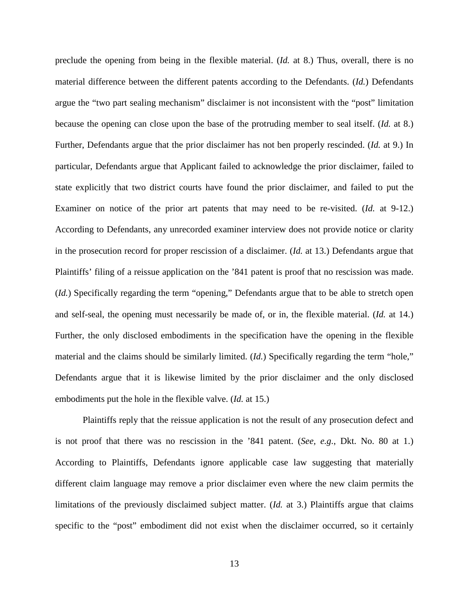preclude the opening from being in the flexible material. (*Id.* at 8.) Thus, overall, there is no material difference between the different patents according to the Defendants. (*Id.*) Defendants argue the "two part sealing mechanism" disclaimer is not inconsistent with the "post" limitation because the opening can close upon the base of the protruding member to seal itself. (*Id.* at 8.) Further, Defendants argue that the prior disclaimer has not ben properly rescinded. (*Id.* at 9.) In particular, Defendants argue that Applicant failed to acknowledge the prior disclaimer, failed to state explicitly that two district courts have found the prior disclaimer, and failed to put the Examiner on notice of the prior art patents that may need to be re-visited. (*Id.* at 9-12.) According to Defendants, any unrecorded examiner interview does not provide notice or clarity in the prosecution record for proper rescission of a disclaimer. (*Id.* at 13.) Defendants argue that Plaintiffs' filing of a reissue application on the '841 patent is proof that no rescission was made. (*Id.*) Specifically regarding the term "opening," Defendants argue that to be able to stretch open and self-seal, the opening must necessarily be made of, or in, the flexible material. (*Id.* at 14.) Further, the only disclosed embodiments in the specification have the opening in the flexible material and the claims should be similarly limited. (*Id.*) Specifically regarding the term "hole," Defendants argue that it is likewise limited by the prior disclaimer and the only disclosed embodiments put the hole in the flexible valve. (*Id.* at 15.)

Plaintiffs reply that the reissue application is not the result of any prosecution defect and is not proof that there was no rescission in the '841 patent. (*See, e.g.*, Dkt. No. 80 at 1.) According to Plaintiffs, Defendants ignore applicable case law suggesting that materially different claim language may remove a prior disclaimer even where the new claim permits the limitations of the previously disclaimed subject matter. (*Id.* at 3.) Plaintiffs argue that claims specific to the "post" embodiment did not exist when the disclaimer occurred, so it certainly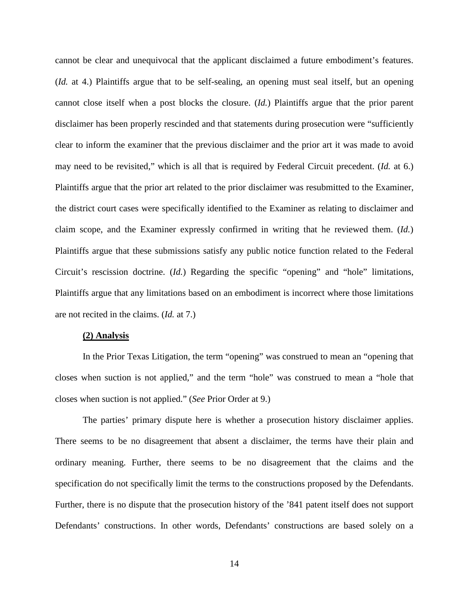cannot be clear and unequivocal that the applicant disclaimed a future embodiment's features. (*Id.* at 4.) Plaintiffs argue that to be self-sealing, an opening must seal itself, but an opening cannot close itself when a post blocks the closure. (*Id.*) Plaintiffs argue that the prior parent disclaimer has been properly rescinded and that statements during prosecution were "sufficiently clear to inform the examiner that the previous disclaimer and the prior art it was made to avoid may need to be revisited," which is all that is required by Federal Circuit precedent. (*Id.* at 6.) Plaintiffs argue that the prior art related to the prior disclaimer was resubmitted to the Examiner, the district court cases were specifically identified to the Examiner as relating to disclaimer and claim scope, and the Examiner expressly confirmed in writing that he reviewed them. (*Id.*) Plaintiffs argue that these submissions satisfy any public notice function related to the Federal Circuit's rescission doctrine. (*Id.*) Regarding the specific "opening" and "hole" limitations, Plaintiffs argue that any limitations based on an embodiment is incorrect where those limitations are not recited in the claims. (*Id.* at 7.)

#### **(2) Analysis**

In the Prior Texas Litigation, the term "opening" was construed to mean an "opening that closes when suction is not applied," and the term "hole" was construed to mean a "hole that closes when suction is not applied." (*See* Prior Order at 9.)

The parties' primary dispute here is whether a prosecution history disclaimer applies. There seems to be no disagreement that absent a disclaimer, the terms have their plain and ordinary meaning. Further, there seems to be no disagreement that the claims and the specification do not specifically limit the terms to the constructions proposed by the Defendants. Further, there is no dispute that the prosecution history of the '841 patent itself does not support Defendants' constructions. In other words, Defendants' constructions are based solely on a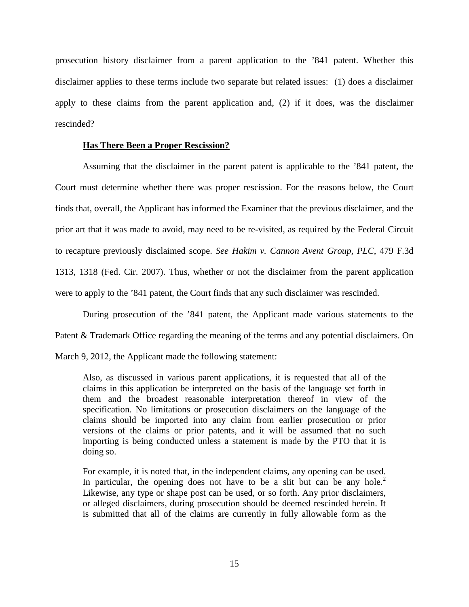prosecution history disclaimer from a parent application to the '841 patent. Whether this disclaimer applies to these terms include two separate but related issues: (1) does a disclaimer apply to these claims from the parent application and, (2) if it does, was the disclaimer rescinded?

## **Has There Been a Proper Rescission?**

Assuming that the disclaimer in the parent patent is applicable to the '841 patent, the Court must determine whether there was proper rescission. For the reasons below, the Court finds that, overall, the Applicant has informed the Examiner that the previous disclaimer, and the prior art that it was made to avoid, may need to be re-visited, as required by the Federal Circuit to recapture previously disclaimed scope. *See Hakim v. Cannon Avent Group, PLC*, 479 F.3d 1313, 1318 (Fed. Cir. 2007). Thus, whether or not the disclaimer from the parent application were to apply to the '841 patent, the Court finds that any such disclaimer was rescinded.

During prosecution of the '841 patent, the Applicant made various statements to the Patent & Trademark Office regarding the meaning of the terms and any potential disclaimers. On

March 9, 2012, the Applicant made the following statement:

Also, as discussed in various parent applications, it is requested that all of the claims in this application be interpreted on the basis of the language set forth in them and the broadest reasonable interpretation thereof in view of the specification. No limitations or prosecution disclaimers on the language of the claims should be imported into any claim from earlier prosecution or prior versions of the claims or prior patents, and it will be assumed that no such importing is being conducted unless a statement is made by the PTO that it is doing so.

For example, it is noted that, in the independent claims, any opening can be used. In particular, the opening does not have to be a slit but can be any hole.<sup>2</sup> Likewise, any type or shape post can be used, or so forth. Any prior disclaimers, or alleged disclaimers, during prosecution should be deemed rescinded herein. It is submitted that all of the claims are currently in fully allowable form as the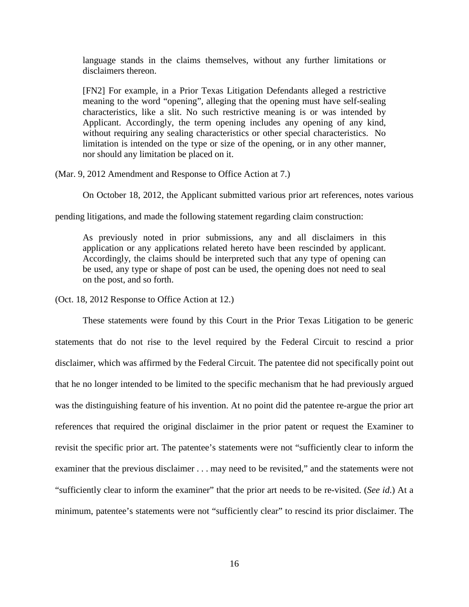language stands in the claims themselves, without any further limitations or disclaimers thereon.

[FN2] For example, in a Prior Texas Litigation Defendants alleged a restrictive meaning to the word "opening", alleging that the opening must have self-sealing characteristics, like a slit. No such restrictive meaning is or was intended by Applicant. Accordingly, the term opening includes any opening of any kind, without requiring any sealing characteristics or other special characteristics. No limitation is intended on the type or size of the opening, or in any other manner, nor should any limitation be placed on it.

(Mar. 9, 2012 Amendment and Response to Office Action at 7.)

On October 18, 2012, the Applicant submitted various prior art references, notes various

pending litigations, and made the following statement regarding claim construction:

As previously noted in prior submissions, any and all disclaimers in this application or any applications related hereto have been rescinded by applicant. Accordingly, the claims should be interpreted such that any type of opening can be used, any type or shape of post can be used, the opening does not need to seal on the post, and so forth.

(Oct. 18, 2012 Response to Office Action at 12.)

 These statements were found by this Court in the Prior Texas Litigation to be generic statements that do not rise to the level required by the Federal Circuit to rescind a prior disclaimer, which was affirmed by the Federal Circuit. The patentee did not specifically point out that he no longer intended to be limited to the specific mechanism that he had previously argued was the distinguishing feature of his invention. At no point did the patentee re-argue the prior art references that required the original disclaimer in the prior patent or request the Examiner to revisit the specific prior art. The patentee's statements were not "sufficiently clear to inform the examiner that the previous disclaimer . . . may need to be revisited," and the statements were not "sufficiently clear to inform the examiner" that the prior art needs to be re-visited. (*See id*.) At a minimum, patentee's statements were not "sufficiently clear" to rescind its prior disclaimer. The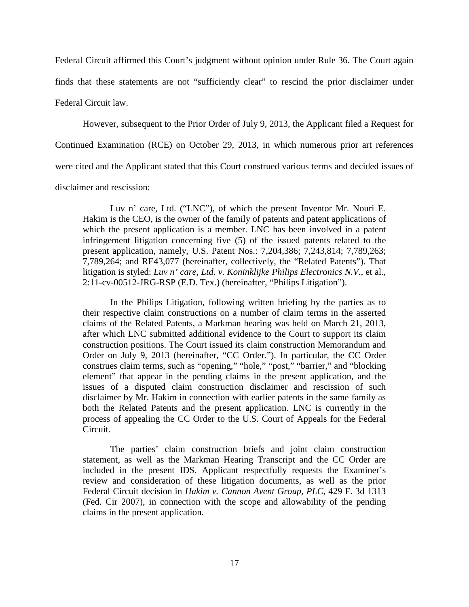Federal Circuit affirmed this Court's judgment without opinion under Rule 36. The Court again finds that these statements are not "sufficiently clear" to rescind the prior disclaimer under Federal Circuit law.

 However, subsequent to the Prior Order of July 9, 2013, the Applicant filed a Request for Continued Examination (RCE) on October 29, 2013, in which numerous prior art references were cited and the Applicant stated that this Court construed various terms and decided issues of disclaimer and rescission:

Luv n' care, Ltd. ("LNC"), of which the present Inventor Mr. Nouri E. Hakim is the CEO, is the owner of the family of patents and patent applications of which the present application is a member. LNC has been involved in a patent infringement litigation concerning five (5) of the issued patents related to the present application, namely, U.S. Patent Nos.: 7,204,386; 7,243,814; 7,789,263; 7,789,264; and RE43,077 (hereinafter, collectively, the "Related Patents"). That litigation is styled: *Luv n' care, Ltd. v. Koninklijke Philips Electronics N.V.*, et al., 2:11-cv-00512-JRG-RSP (E.D. Tex.) (hereinafter, "Philips Litigation").

In the Philips Litigation, following written briefing by the parties as to their respective claim constructions on a number of claim terms in the asserted claims of the Related Patents, a Markman hearing was held on March 21, 2013, after which LNC submitted additional evidence to the Court to support its claim construction positions. The Court issued its claim construction Memorandum and Order on July 9, 2013 (hereinafter, "CC Order."). In particular, the CC Order construes claim terms, such as "opening," "hole," "post," "barrier," and "blocking element" that appear in the pending claims in the present application, and the issues of a disputed claim construction disclaimer and rescission of such disclaimer by Mr. Hakim in connection with earlier patents in the same family as both the Related Patents and the present application. LNC is currently in the process of appealing the CC Order to the U.S. Court of Appeals for the Federal Circuit.

The parties' claim construction briefs and joint claim construction statement, as well as the Markman Hearing Transcript and the CC Order are included in the present IDS. Applicant respectfully requests the Examiner's review and consideration of these litigation documents, as well as the prior Federal Circuit decision in *Hakim v. Cannon Avent Group, PLC,* 429 F. 3d 1313 (Fed. Cir 2007), in connection with the scope and allowability of the pending claims in the present application.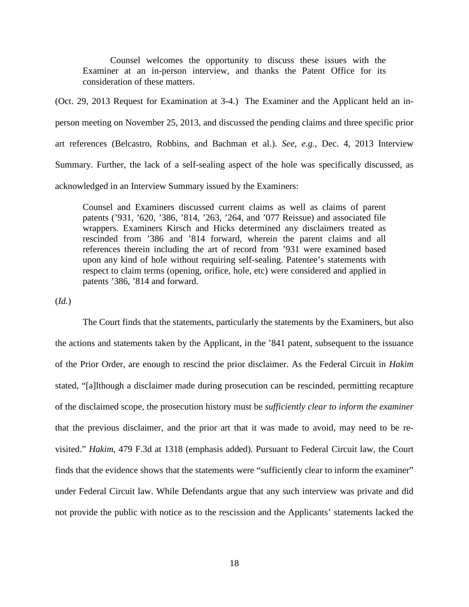Counsel welcomes the opportunity to discuss these issues with the Examiner at an in-person interview, and thanks the Patent Office for its consideration of these matters.

(Oct. 29, 2013 Request for Examination at 3-4.) The Examiner and the Applicant held an inperson meeting on November 25, 2013, and discussed the pending claims and three specific prior art references (Belcastro, Robbins, and Bachman et al.). *See, e.g.*, Dec. 4, 2013 Interview Summary. Further, the lack of a self-sealing aspect of the hole was specifically discussed, as acknowledged in an Interview Summary issued by the Examiners:

Counsel and Examiners discussed current claims as well as claims of parent patents ('931, '620, '386, '814, '263, '264, and '077 Reissue) and associated file wrappers. Examiners Kirsch and Hicks determined any disclaimers treated as rescinded from '386 and '814 forward, wherein the parent claims and all references therein including the art of record from '931 were examined based upon any kind of hole without requiring self-sealing. Patentee's statements with respect to claim terms (opening, orifice, hole, etc) were considered and applied in patents '386, '814 and forward.

(*Id.*)

The Court finds that the statements, particularly the statements by the Examiners, but also the actions and statements taken by the Applicant, in the '841 patent, subsequent to the issuance of the Prior Order, are enough to rescind the prior disclaimer. As the Federal Circuit in *Hakim* stated, "[a]lthough a disclaimer made during prosecution can be rescinded, permitting recapture of the disclaimed scope, the prosecution history must be *sufficiently clear to inform the examiner* that the previous disclaimer, and the prior art that it was made to avoid, may need to be revisited." *Hakim*, 479 F.3d at 1318 (emphasis added). Pursuant to Federal Circuit law, the Court finds that the evidence shows that the statements were "sufficiently clear to inform the examiner" under Federal Circuit law. While Defendants argue that any such interview was private and did not provide the public with notice as to the rescission and the Applicants' statements lacked the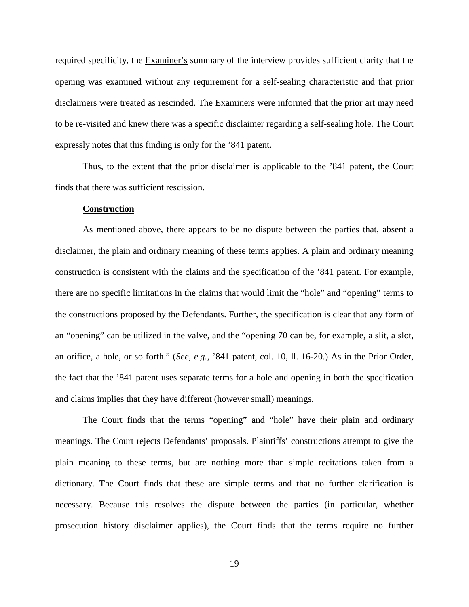required specificity, the Examiner's summary of the interview provides sufficient clarity that the opening was examined without any requirement for a self-sealing characteristic and that prior disclaimers were treated as rescinded. The Examiners were informed that the prior art may need to be re-visited and knew there was a specific disclaimer regarding a self-sealing hole. The Court expressly notes that this finding is only for the '841 patent.

Thus, to the extent that the prior disclaimer is applicable to the '841 patent, the Court finds that there was sufficient rescission.

#### **Construction**

As mentioned above, there appears to be no dispute between the parties that, absent a disclaimer, the plain and ordinary meaning of these terms applies. A plain and ordinary meaning construction is consistent with the claims and the specification of the '841 patent. For example, there are no specific limitations in the claims that would limit the "hole" and "opening" terms to the constructions proposed by the Defendants. Further, the specification is clear that any form of an "opening" can be utilized in the valve, and the "opening 70 can be, for example, a slit, a slot, an orifice, a hole, or so forth." (*See, e.g.*, '841 patent, col. 10, ll. 16-20.) As in the Prior Order, the fact that the '841 patent uses separate terms for a hole and opening in both the specification and claims implies that they have different (however small) meanings.

The Court finds that the terms "opening" and "hole" have their plain and ordinary meanings. The Court rejects Defendants' proposals. Plaintiffs' constructions attempt to give the plain meaning to these terms, but are nothing more than simple recitations taken from a dictionary. The Court finds that these are simple terms and that no further clarification is necessary. Because this resolves the dispute between the parties (in particular, whether prosecution history disclaimer applies), the Court finds that the terms require no further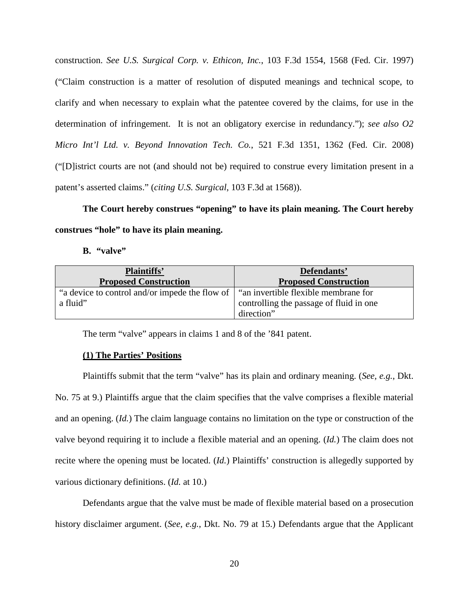construction. *See U.S. Surgical Corp. v. Ethicon, Inc.*, 103 F.3d 1554, 1568 (Fed. Cir. 1997) ("Claim construction is a matter of resolution of disputed meanings and technical scope, to clarify and when necessary to explain what the patentee covered by the claims, for use in the determination of infringement. It is not an obligatory exercise in redundancy."); *see also O2 Micro Int'l Ltd. v. Beyond Innovation Tech. Co.*, 521 F.3d 1351, 1362 (Fed. Cir. 2008) ("[D]istrict courts are not (and should not be) required to construe every limitation present in a patent's asserted claims." (*citing U.S. Surgical*, 103 F.3d at 1568)).

**The Court hereby construes "opening" to have its plain meaning. The Court hereby construes "hole" to have its plain meaning.** 

**B. "valve"** 

| <b>Plaintiffs'</b>                                         | Defendants'                                                                                   |
|------------------------------------------------------------|-----------------------------------------------------------------------------------------------|
| <b>Proposed Construction</b>                               | <b>Proposed Construction</b>                                                                  |
| "a device to control and/or impede the flow of<br>a fluid" | "an invertible flexible membrane for<br>controlling the passage of fluid in one<br>direction" |

The term "valve" appears in claims 1 and 8 of the '841 patent.

## **(1) The Parties' Positions**

Plaintiffs submit that the term "valve" has its plain and ordinary meaning. (*See, e.g.*, Dkt. No. 75 at 9.) Plaintiffs argue that the claim specifies that the valve comprises a flexible material and an opening. (*Id.*) The claim language contains no limitation on the type or construction of the valve beyond requiring it to include a flexible material and an opening. (*Id.*) The claim does not recite where the opening must be located. (*Id.*) Plaintiffs' construction is allegedly supported by various dictionary definitions. (*Id.* at 10.)

Defendants argue that the valve must be made of flexible material based on a prosecution history disclaimer argument. (*See, e.g.*, Dkt. No. 79 at 15.) Defendants argue that the Applicant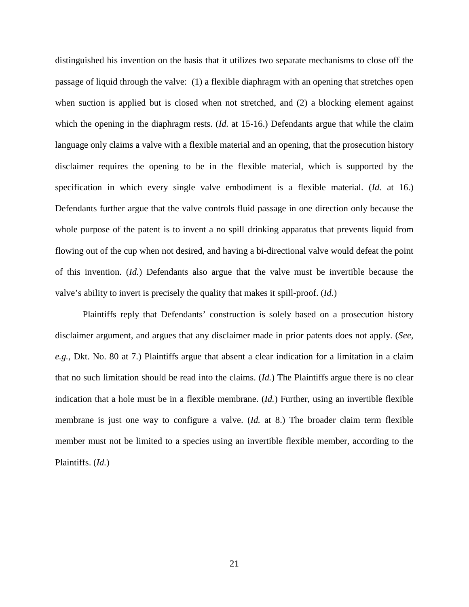distinguished his invention on the basis that it utilizes two separate mechanisms to close off the passage of liquid through the valve: (1) a flexible diaphragm with an opening that stretches open when suction is applied but is closed when not stretched, and (2) a blocking element against which the opening in the diaphragm rests. *(Id.* at 15-16.) Defendants argue that while the claim language only claims a valve with a flexible material and an opening, that the prosecution history disclaimer requires the opening to be in the flexible material, which is supported by the specification in which every single valve embodiment is a flexible material. (*Id.* at 16.) Defendants further argue that the valve controls fluid passage in one direction only because the whole purpose of the patent is to invent a no spill drinking apparatus that prevents liquid from flowing out of the cup when not desired, and having a bi-directional valve would defeat the point of this invention. (*Id.*) Defendants also argue that the valve must be invertible because the valve's ability to invert is precisely the quality that makes it spill-proof. (*Id.*)

Plaintiffs reply that Defendants' construction is solely based on a prosecution history disclaimer argument, and argues that any disclaimer made in prior patents does not apply. (*See, e.g.*, Dkt. No. 80 at 7.) Plaintiffs argue that absent a clear indication for a limitation in a claim that no such limitation should be read into the claims. (*Id.*) The Plaintiffs argue there is no clear indication that a hole must be in a flexible membrane. (*Id.*) Further, using an invertible flexible membrane is just one way to configure a valve. (*Id.* at 8.) The broader claim term flexible member must not be limited to a species using an invertible flexible member, according to the Plaintiffs. (*Id.*)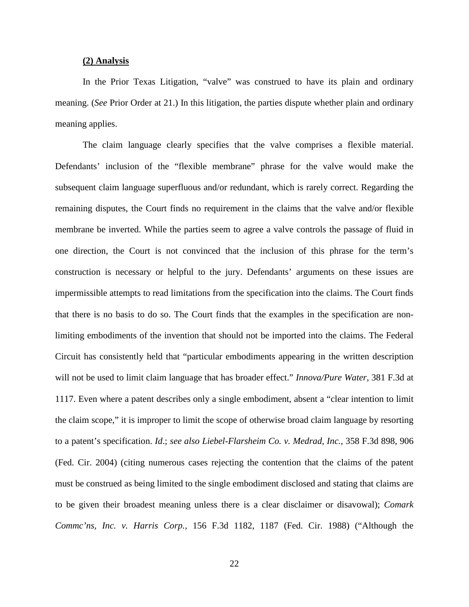## **(2) Analysis**

In the Prior Texas Litigation, "valve" was construed to have its plain and ordinary meaning. (*See* Prior Order at 21.) In this litigation, the parties dispute whether plain and ordinary meaning applies.

The claim language clearly specifies that the valve comprises a flexible material. Defendants' inclusion of the "flexible membrane" phrase for the valve would make the subsequent claim language superfluous and/or redundant, which is rarely correct. Regarding the remaining disputes, the Court finds no requirement in the claims that the valve and/or flexible membrane be inverted. While the parties seem to agree a valve controls the passage of fluid in one direction, the Court is not convinced that the inclusion of this phrase for the term's construction is necessary or helpful to the jury. Defendants' arguments on these issues are impermissible attempts to read limitations from the specification into the claims. The Court finds that there is no basis to do so. The Court finds that the examples in the specification are nonlimiting embodiments of the invention that should not be imported into the claims. The Federal Circuit has consistently held that "particular embodiments appearing in the written description will not be used to limit claim language that has broader effect." *Innova/Pure Water,* 381 F.3d at 1117. Even where a patent describes only a single embodiment, absent a "clear intention to limit the claim scope," it is improper to limit the scope of otherwise broad claim language by resorting to a patent's specification. *Id*.; *see also Liebel-Flarsheim Co. v. Medrad, Inc.*, 358 F.3d 898, 906 (Fed. Cir. 2004) (citing numerous cases rejecting the contention that the claims of the patent must be construed as being limited to the single embodiment disclosed and stating that claims are to be given their broadest meaning unless there is a clear disclaimer or disavowal); *Comark Commc'ns, Inc. v. Harris Corp.,* 156 F.3d 1182, 1187 (Fed. Cir. 1988) ("Although the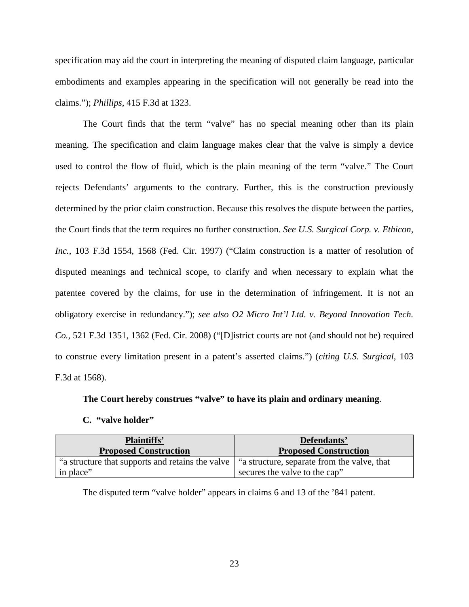specification may aid the court in interpreting the meaning of disputed claim language, particular embodiments and examples appearing in the specification will not generally be read into the claims."); *Phillips*, 415 F.3d at 1323.

The Court finds that the term "valve" has no special meaning other than its plain meaning. The specification and claim language makes clear that the valve is simply a device used to control the flow of fluid, which is the plain meaning of the term "valve." The Court rejects Defendants' arguments to the contrary. Further, this is the construction previously determined by the prior claim construction. Because this resolves the dispute between the parties, the Court finds that the term requires no further construction. *See U.S. Surgical Corp. v. Ethicon, Inc.*, 103 F.3d 1554, 1568 (Fed. Cir. 1997) ("Claim construction is a matter of resolution of disputed meanings and technical scope, to clarify and when necessary to explain what the patentee covered by the claims, for use in the determination of infringement. It is not an obligatory exercise in redundancy."); *see also O2 Micro Int'l Ltd. v. Beyond Innovation Tech. Co.*, 521 F.3d 1351, 1362 (Fed. Cir. 2008) ("[D]istrict courts are not (and should not be) required to construe every limitation present in a patent's asserted claims.") (*citing U.S. Surgical*, 103 F.3d at 1568).

## **The Court hereby construes "valve" to have its plain and ordinary meaning**.

#### **C. "valve holder"**

| <b>Plaintiffs'</b><br><b>Proposed Construction</b> | Defendants'<br><b>Proposed Construction</b> |
|----------------------------------------------------|---------------------------------------------|
| "a structure that supports and retains the valve   | "a structure, separate from the valve, that |
| in place"                                          | secures the valve to the cap"               |

The disputed term "valve holder" appears in claims 6 and 13 of the '841 patent.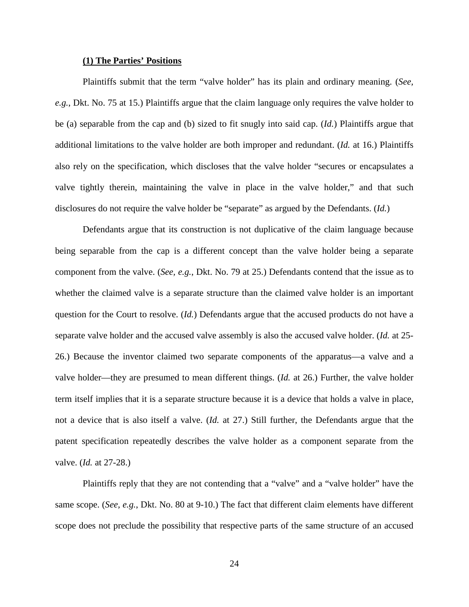#### **(1) The Parties' Positions**

Plaintiffs submit that the term "valve holder" has its plain and ordinary meaning. (*See, e.g.*, Dkt. No. 75 at 15.) Plaintiffs argue that the claim language only requires the valve holder to be (a) separable from the cap and (b) sized to fit snugly into said cap. (*Id.*) Plaintiffs argue that additional limitations to the valve holder are both improper and redundant. (*Id.* at 16.) Plaintiffs also rely on the specification, which discloses that the valve holder "secures or encapsulates a valve tightly therein, maintaining the valve in place in the valve holder," and that such disclosures do not require the valve holder be "separate" as argued by the Defendants. (*Id.*)

Defendants argue that its construction is not duplicative of the claim language because being separable from the cap is a different concept than the valve holder being a separate component from the valve. (*See, e.g.*, Dkt. No. 79 at 25.) Defendants contend that the issue as to whether the claimed valve is a separate structure than the claimed valve holder is an important question for the Court to resolve. (*Id.*) Defendants argue that the accused products do not have a separate valve holder and the accused valve assembly is also the accused valve holder. (*Id.* at 25- 26.) Because the inventor claimed two separate components of the apparatus—a valve and a valve holder—they are presumed to mean different things. (*Id.* at 26.) Further, the valve holder term itself implies that it is a separate structure because it is a device that holds a valve in place, not a device that is also itself a valve. (*Id.* at 27.) Still further, the Defendants argue that the patent specification repeatedly describes the valve holder as a component separate from the valve. (*Id.* at 27-28.)

Plaintiffs reply that they are not contending that a "valve" and a "valve holder" have the same scope. (*See, e.g.*, Dkt. No. 80 at 9-10.) The fact that different claim elements have different scope does not preclude the possibility that respective parts of the same structure of an accused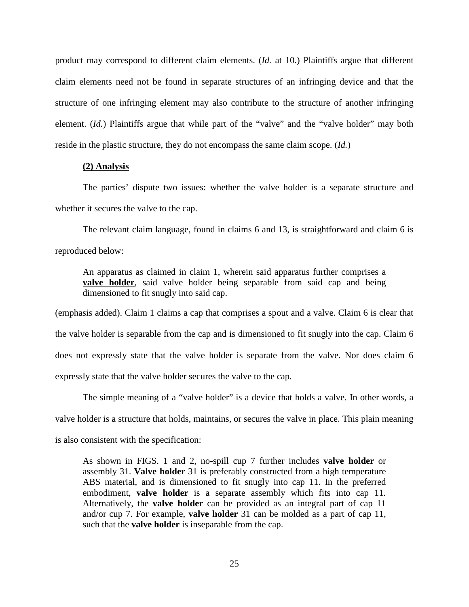product may correspond to different claim elements. (*Id.* at 10.) Plaintiffs argue that different claim elements need not be found in separate structures of an infringing device and that the structure of one infringing element may also contribute to the structure of another infringing element. (*Id.*) Plaintiffs argue that while part of the "valve" and the "valve holder" may both reside in the plastic structure, they do not encompass the same claim scope. (*Id.*)

#### **(2) Analysis**

The parties' dispute two issues: whether the valve holder is a separate structure and whether it secures the valve to the cap.

The relevant claim language, found in claims 6 and 13, is straightforward and claim 6 is reproduced below:

An apparatus as claimed in claim 1, wherein said apparatus further comprises a **valve holder**, said valve holder being separable from said cap and being dimensioned to fit snugly into said cap.

(emphasis added). Claim 1 claims a cap that comprises a spout and a valve. Claim 6 is clear that the valve holder is separable from the cap and is dimensioned to fit snugly into the cap. Claim 6 does not expressly state that the valve holder is separate from the valve. Nor does claim 6 expressly state that the valve holder secures the valve to the cap.

The simple meaning of a "valve holder" is a device that holds a valve. In other words, a valve holder is a structure that holds, maintains, or secures the valve in place. This plain meaning is also consistent with the specification:

As shown in FIGS. 1 and 2, no-spill cup 7 further includes **valve holder** or assembly 31. **Valve holder** 31 is preferably constructed from a high temperature ABS material, and is dimensioned to fit snugly into cap 11. In the preferred embodiment, **valve holder** is a separate assembly which fits into cap 11. Alternatively, the **valve holder** can be provided as an integral part of cap 11 and/or cup 7. For example, **valve holder** 31 can be molded as a part of cap 11, such that the **valve holder** is inseparable from the cap.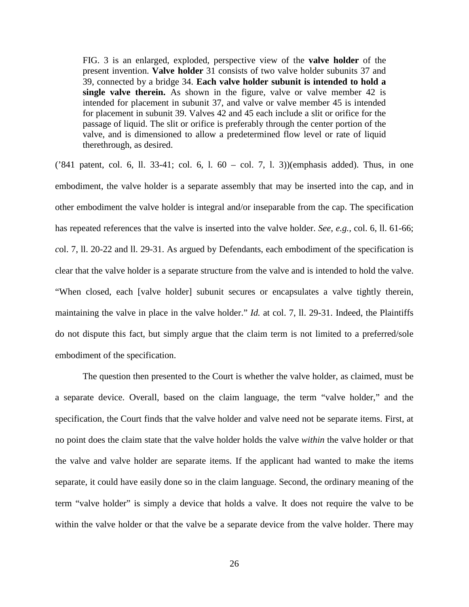FIG. 3 is an enlarged, exploded, perspective view of the **valve holder** of the present invention. **Valve holder** 31 consists of two valve holder subunits 37 and 39, connected by a bridge 34. **Each valve holder subunit is intended to hold a single valve therein.** As shown in the figure, valve or valve member 42 is intended for placement in subunit 37, and valve or valve member 45 is intended for placement in subunit 39. Valves 42 and 45 each include a slit or orifice for the passage of liquid. The slit or orifice is preferably through the center portion of the valve, and is dimensioned to allow a predetermined flow level or rate of liquid therethrough, as desired.

('841 patent, col. 6, ll. 33-41; col. 6, l. 60 – col. 7, l. 3)) (emphasis added). Thus, in one embodiment, the valve holder is a separate assembly that may be inserted into the cap, and in other embodiment the valve holder is integral and/or inseparable from the cap. The specification has repeated references that the valve is inserted into the valve holder. *See, e.g.,* col. 6, ll. 61-66; *c*ol. 7, ll. 20-22 and ll. 29-31. As argued by Defendants, each embodiment of the specification is clear that the valve holder is a separate structure from the valve and is intended to hold the valve. "When closed, each [valve holder] subunit secures or encapsulates a valve tightly therein, maintaining the valve in place in the valve holder." *Id.* at col. 7, ll. 29-31. Indeed, the Plaintiffs do not dispute this fact, but simply argue that the claim term is not limited to a preferred/sole embodiment of the specification.

The question then presented to the Court is whether the valve holder, as claimed, must be a separate device. Overall, based on the claim language, the term "valve holder," and the specification, the Court finds that the valve holder and valve need not be separate items. First, at no point does the claim state that the valve holder holds the valve *within* the valve holder or that the valve and valve holder are separate items. If the applicant had wanted to make the items separate, it could have easily done so in the claim language. Second, the ordinary meaning of the term "valve holder" is simply a device that holds a valve. It does not require the valve to be within the valve holder or that the valve be a separate device from the valve holder. There may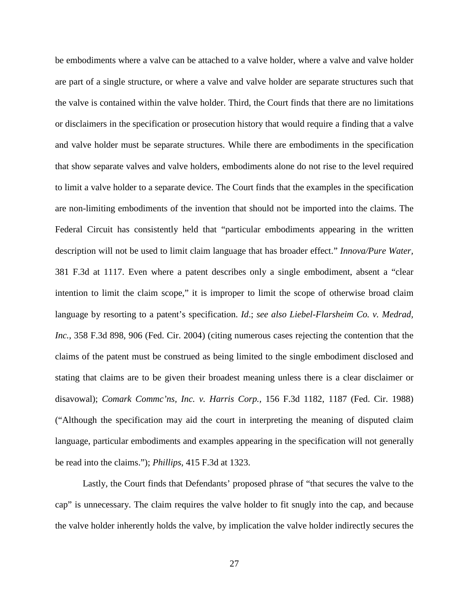be embodiments where a valve can be attached to a valve holder, where a valve and valve holder are part of a single structure, or where a valve and valve holder are separate structures such that the valve is contained within the valve holder. Third, the Court finds that there are no limitations or disclaimers in the specification or prosecution history that would require a finding that a valve and valve holder must be separate structures. While there are embodiments in the specification that show separate valves and valve holders, embodiments alone do not rise to the level required to limit a valve holder to a separate device. The Court finds that the examples in the specification are non-limiting embodiments of the invention that should not be imported into the claims. The Federal Circuit has consistently held that "particular embodiments appearing in the written description will not be used to limit claim language that has broader effect." *Innova/Pure Water,*  381 F.3d at 1117. Even where a patent describes only a single embodiment, absent a "clear intention to limit the claim scope," it is improper to limit the scope of otherwise broad claim language by resorting to a patent's specification. *Id*.; *see also Liebel-Flarsheim Co. v. Medrad, Inc.*, 358 F.3d 898, 906 (Fed. Cir. 2004) (citing numerous cases rejecting the contention that the claims of the patent must be construed as being limited to the single embodiment disclosed and stating that claims are to be given their broadest meaning unless there is a clear disclaimer or disavowal); *Comark Commc'ns, Inc. v. Harris Corp.,* 156 F.3d 1182, 1187 (Fed. Cir. 1988) ("Although the specification may aid the court in interpreting the meaning of disputed claim language, particular embodiments and examples appearing in the specification will not generally be read into the claims."); *Phillips*, 415 F.3d at 1323.

Lastly, the Court finds that Defendants' proposed phrase of "that secures the valve to the cap" is unnecessary. The claim requires the valve holder to fit snugly into the cap, and because the valve holder inherently holds the valve, by implication the valve holder indirectly secures the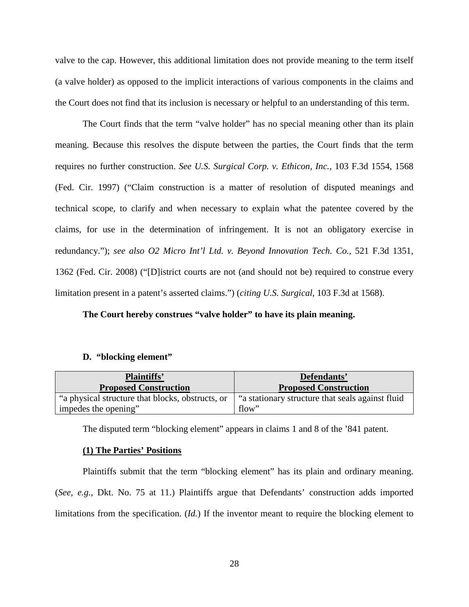valve to the cap. However, this additional limitation does not provide meaning to the term itself (a valve holder) as opposed to the implicit interactions of various components in the claims and the Court does not find that its inclusion is necessary or helpful to an understanding of this term.

The Court finds that the term "valve holder" has no special meaning other than its plain meaning. Because this resolves the dispute between the parties, the Court finds that the term requires no further construction. *See U.S. Surgical Corp. v. Ethicon, Inc.*, 103 F.3d 1554, 1568 (Fed. Cir. 1997) ("Claim construction is a matter of resolution of disputed meanings and technical scope, to clarify and when necessary to explain what the patentee covered by the claims, for use in the determination of infringement. It is not an obligatory exercise in redundancy."); *see also O2 Micro Int'l Ltd. v. Beyond Innovation Tech. Co.*, 521 F.3d 1351, 1362 (Fed. Cir. 2008) ("[D]istrict courts are not (and should not be) required to construe every limitation present in a patent's asserted claims.") (*citing U.S. Surgical*, 103 F.3d at 1568).

## **The Court hereby construes "valve holder" to have its plain meaning.**

#### **D. "blocking element"**

| <b>Plaintiffs'</b><br><b>Proposed Construction</b> | Defendants'<br><b>Proposed Construction</b>     |
|----------------------------------------------------|-------------------------------------------------|
| "a physical structure that blocks, obstructs, or   | a stationary structure that seals against fluid |
| impedes the opening"                               | flow"                                           |

The disputed term "blocking element" appears in claims 1 and 8 of the '841 patent.

## **(1) The Parties' Positions**

Plaintiffs submit that the term "blocking element" has its plain and ordinary meaning. (*See, e.g.*, Dkt. No. 75 at 11.) Plaintiffs argue that Defendants' construction adds imported limitations from the specification. (*Id.*) If the inventor meant to require the blocking element to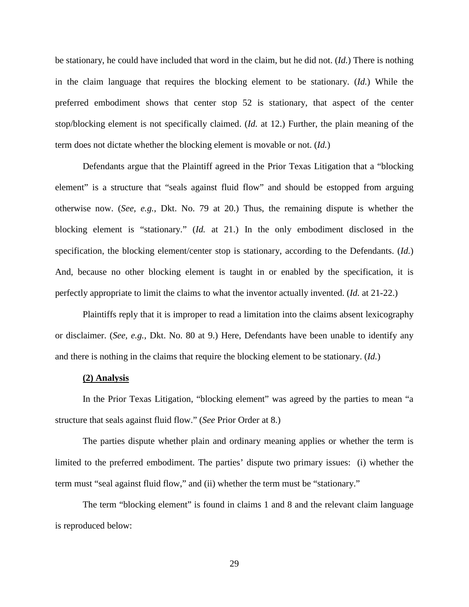be stationary, he could have included that word in the claim, but he did not. (*Id.*) There is nothing in the claim language that requires the blocking element to be stationary. (*Id.*) While the preferred embodiment shows that center stop 52 is stationary, that aspect of the center stop/blocking element is not specifically claimed. (*Id.* at 12.) Further, the plain meaning of the term does not dictate whether the blocking element is movable or not. (*Id.*)

Defendants argue that the Plaintiff agreed in the Prior Texas Litigation that a "blocking element" is a structure that "seals against fluid flow" and should be estopped from arguing otherwise now. (*See, e.g.*, Dkt. No. 79 at 20.) Thus, the remaining dispute is whether the blocking element is "stationary." (*Id.* at 21.) In the only embodiment disclosed in the specification, the blocking element/center stop is stationary, according to the Defendants. (*Id.*) And, because no other blocking element is taught in or enabled by the specification, it is perfectly appropriate to limit the claims to what the inventor actually invented. (*Id.* at 21-22.)

Plaintiffs reply that it is improper to read a limitation into the claims absent lexicography or disclaimer. (*See, e.g.*, Dkt. No. 80 at 9.) Here, Defendants have been unable to identify any and there is nothing in the claims that require the blocking element to be stationary. (*Id.*)

#### **(2) Analysis**

In the Prior Texas Litigation, "blocking element" was agreed by the parties to mean "a structure that seals against fluid flow." (*See* Prior Order at 8.)

The parties dispute whether plain and ordinary meaning applies or whether the term is limited to the preferred embodiment. The parties' dispute two primary issues: (i) whether the term must "seal against fluid flow," and (ii) whether the term must be "stationary."

The term "blocking element" is found in claims 1 and 8 and the relevant claim language is reproduced below: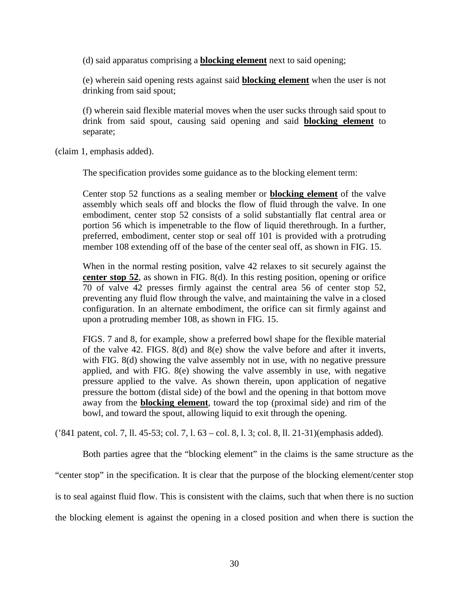(d) said apparatus comprising a **blocking element** next to said opening;

(e) wherein said opening rests against said **blocking element** when the user is not drinking from said spout;

(f) wherein said flexible material moves when the user sucks through said spout to drink from said spout, causing said opening and said **blocking element** to separate;

(claim 1, emphasis added).

The specification provides some guidance as to the blocking element term:

Center stop 52 functions as a sealing member or **blocking element** of the valve assembly which seals off and blocks the flow of fluid through the valve. In one embodiment, center stop 52 consists of a solid substantially flat central area or portion 56 which is impenetrable to the flow of liquid therethrough. In a further, preferred, embodiment, center stop or seal off 101 is provided with a protruding member 108 extending off of the base of the center seal off, as shown in FIG. 15.

When in the normal resting position, valve 42 relaxes to sit securely against the **center stop 52**, as shown in FIG. 8(d). In this resting position, opening or orifice 70 of valve 42 presses firmly against the central area 56 of center stop 52, preventing any fluid flow through the valve, and maintaining the valve in a closed configuration. In an alternate embodiment, the orifice can sit firmly against and upon a protruding member 108, as shown in FIG. 15.

FIGS. 7 and 8, for example, show a preferred bowl shape for the flexible material of the valve 42. FIGS. 8(d) and 8(e) show the valve before and after it inverts, with FIG. 8(d) showing the valve assembly not in use, with no negative pressure applied, and with FIG. 8(e) showing the valve assembly in use, with negative pressure applied to the valve. As shown therein, upon application of negative pressure the bottom (distal side) of the bowl and the opening in that bottom move away from the **blocking element**, toward the top (proximal side) and rim of the bowl, and toward the spout, allowing liquid to exit through the opening.

('841 patent, col. 7, ll. 45-53; col. 7, l. 63 – col. 8, l. 3; col. 8, ll. 21-31)(emphasis added).

Both parties agree that the "blocking element" in the claims is the same structure as the "center stop" in the specification. It is clear that the purpose of the blocking element/center stop is to seal against fluid flow. This is consistent with the claims, such that when there is no suction the blocking element is against the opening in a closed position and when there is suction the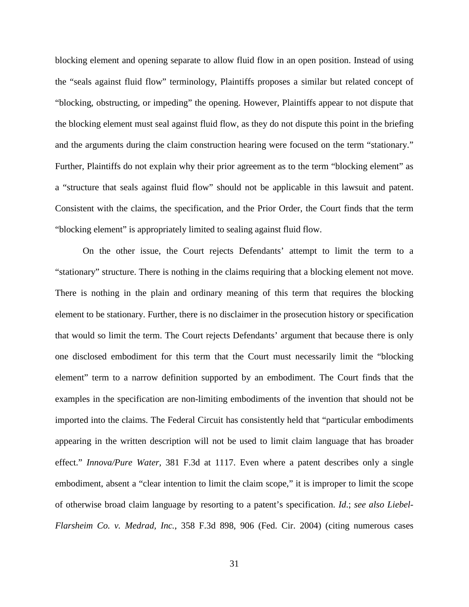blocking element and opening separate to allow fluid flow in an open position. Instead of using the "seals against fluid flow" terminology, Plaintiffs proposes a similar but related concept of "blocking, obstructing, or impeding" the opening. However, Plaintiffs appear to not dispute that the blocking element must seal against fluid flow, as they do not dispute this point in the briefing and the arguments during the claim construction hearing were focused on the term "stationary." Further, Plaintiffs do not explain why their prior agreement as to the term "blocking element" as a "structure that seals against fluid flow" should not be applicable in this lawsuit and patent. Consistent with the claims, the specification, and the Prior Order, the Court finds that the term "blocking element" is appropriately limited to sealing against fluid flow.

On the other issue, the Court rejects Defendants' attempt to limit the term to a "stationary" structure. There is nothing in the claims requiring that a blocking element not move. There is nothing in the plain and ordinary meaning of this term that requires the blocking element to be stationary. Further, there is no disclaimer in the prosecution history or specification that would so limit the term. The Court rejects Defendants' argument that because there is only one disclosed embodiment for this term that the Court must necessarily limit the "blocking element" term to a narrow definition supported by an embodiment. The Court finds that the examples in the specification are non-limiting embodiments of the invention that should not be imported into the claims. The Federal Circuit has consistently held that "particular embodiments appearing in the written description will not be used to limit claim language that has broader effect." *Innova/Pure Water,* 381 F.3d at 1117. Even where a patent describes only a single embodiment, absent a "clear intention to limit the claim scope," it is improper to limit the scope of otherwise broad claim language by resorting to a patent's specification. *Id*.; *see also Liebel-Flarsheim Co. v. Medrad, Inc.*, 358 F.3d 898, 906 (Fed. Cir. 2004) (citing numerous cases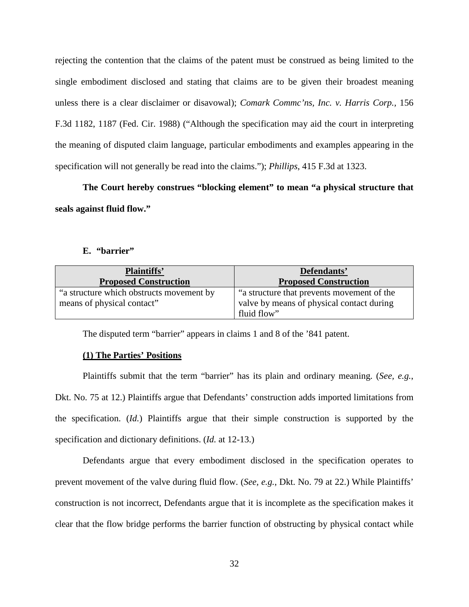rejecting the contention that the claims of the patent must be construed as being limited to the single embodiment disclosed and stating that claims are to be given their broadest meaning unless there is a clear disclaimer or disavowal); *Comark Commc'ns, Inc. v. Harris Corp.,* 156 F.3d 1182, 1187 (Fed. Cir. 1988) ("Although the specification may aid the court in interpreting the meaning of disputed claim language, particular embodiments and examples appearing in the specification will not generally be read into the claims."); *Phillips*, 415 F.3d at 1323.

**The Court hereby construes "blocking element" to mean "a physical structure that seals against fluid flow."** 

## **E. "barrier"**

| <b>Plaintiffs'</b><br><b>Proposed Construction</b> | Defendants'<br><b>Proposed Construction</b> |
|----------------------------------------------------|---------------------------------------------|
| "a structure which obstructs movement by           | "a structure that prevents movement of the  |
| means of physical contact"                         | valve by means of physical contact during   |
|                                                    | fluid flow"                                 |

The disputed term "barrier" appears in claims 1 and 8 of the '841 patent.

## **(1) The Parties' Positions**

Plaintiffs submit that the term "barrier" has its plain and ordinary meaning. (*See, e.g.*, Dkt. No. 75 at 12.) Plaintiffs argue that Defendants' construction adds imported limitations from the specification. (*Id.*) Plaintiffs argue that their simple construction is supported by the specification and dictionary definitions. (*Id.* at 12-13.)

Defendants argue that every embodiment disclosed in the specification operates to prevent movement of the valve during fluid flow. (*See, e.g.*, Dkt. No. 79 at 22.) While Plaintiffs' construction is not incorrect, Defendants argue that it is incomplete as the specification makes it clear that the flow bridge performs the barrier function of obstructing by physical contact while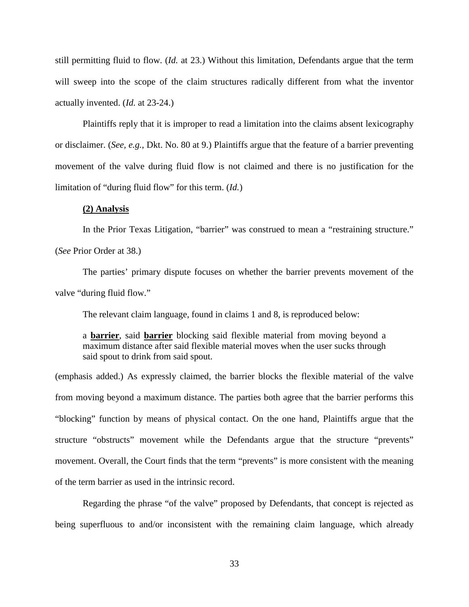still permitting fluid to flow. (*Id.* at 23.) Without this limitation, Defendants argue that the term will sweep into the scope of the claim structures radically different from what the inventor actually invented. (*Id.* at 23-24.)

Plaintiffs reply that it is improper to read a limitation into the claims absent lexicography or disclaimer. (*See, e.g.*, Dkt. No. 80 at 9.) Plaintiffs argue that the feature of a barrier preventing movement of the valve during fluid flow is not claimed and there is no justification for the limitation of "during fluid flow" for this term. (*Id.*)

## **(2) Analysis**

In the Prior Texas Litigation, "barrier" was construed to mean a "restraining structure."

(*See* Prior Order at 38.)

The parties' primary dispute focuses on whether the barrier prevents movement of the valve "during fluid flow."

The relevant claim language, found in claims 1 and 8, is reproduced below:

a **barrier**, said **barrier** blocking said flexible material from moving beyond a maximum distance after said flexible material moves when the user sucks through said spout to drink from said spout.

(emphasis added.) As expressly claimed, the barrier blocks the flexible material of the valve from moving beyond a maximum distance. The parties both agree that the barrier performs this "blocking" function by means of physical contact. On the one hand, Plaintiffs argue that the structure "obstructs" movement while the Defendants argue that the structure "prevents" movement. Overall, the Court finds that the term "prevents" is more consistent with the meaning of the term barrier as used in the intrinsic record.

Regarding the phrase "of the valve" proposed by Defendants, that concept is rejected as being superfluous to and/or inconsistent with the remaining claim language, which already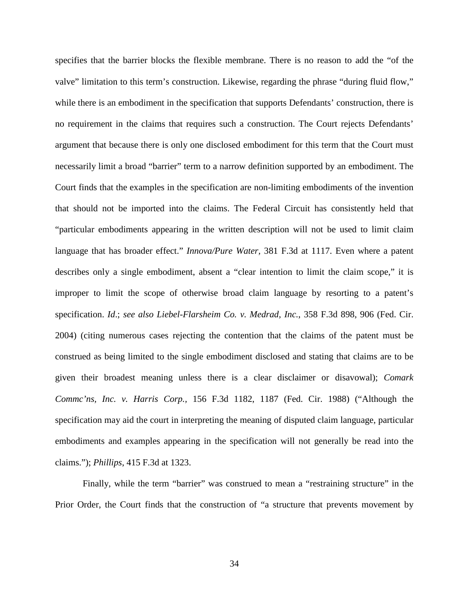specifies that the barrier blocks the flexible membrane. There is no reason to add the "of the valve" limitation to this term's construction. Likewise, regarding the phrase "during fluid flow," while there is an embodiment in the specification that supports Defendants' construction, there is no requirement in the claims that requires such a construction. The Court rejects Defendants' argument that because there is only one disclosed embodiment for this term that the Court must necessarily limit a broad "barrier" term to a narrow definition supported by an embodiment. The Court finds that the examples in the specification are non-limiting embodiments of the invention that should not be imported into the claims. The Federal Circuit has consistently held that "particular embodiments appearing in the written description will not be used to limit claim language that has broader effect." *Innova/Pure Water,* 381 F.3d at 1117. Even where a patent describes only a single embodiment, absent a "clear intention to limit the claim scope," it is improper to limit the scope of otherwise broad claim language by resorting to a patent's specification. *Id*.; *see also Liebel-Flarsheim Co. v. Medrad, Inc.*, 358 F.3d 898, 906 (Fed. Cir. 2004) (citing numerous cases rejecting the contention that the claims of the patent must be construed as being limited to the single embodiment disclosed and stating that claims are to be given their broadest meaning unless there is a clear disclaimer or disavowal); *Comark Commc'ns, Inc. v. Harris Corp.,* 156 F.3d 1182, 1187 (Fed. Cir. 1988) ("Although the specification may aid the court in interpreting the meaning of disputed claim language, particular embodiments and examples appearing in the specification will not generally be read into the claims."); *Phillips*, 415 F.3d at 1323.

 Finally, while the term "barrier" was construed to mean a "restraining structure" in the Prior Order, the Court finds that the construction of "a structure that prevents movement by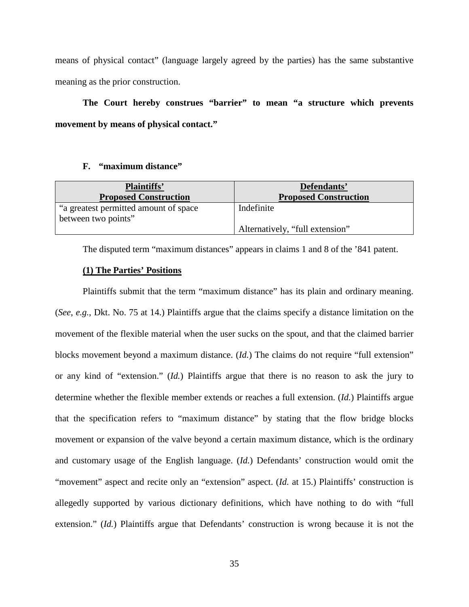means of physical contact" (language largely agreed by the parties) has the same substantive meaning as the prior construction.

**The Court hereby construes "barrier" to mean "a structure which prevents movement by means of physical contact."** 

## **F. "maximum distance"**

| <b>Plaintiffs'</b><br><b>Proposed Construction</b> | Defendants'<br><b>Proposed Construction</b> |
|----------------------------------------------------|---------------------------------------------|
| "a greatest permitted amount of space"             | Indefinite                                  |
| between two points"                                |                                             |
|                                                    | Alternatively, "full extension"             |

The disputed term "maximum distances" appears in claims 1 and 8 of the '841 patent.

## **(1) The Parties' Positions**

Plaintiffs submit that the term "maximum distance" has its plain and ordinary meaning. (*See, e.g.*, Dkt. No. 75 at 14.) Plaintiffs argue that the claims specify a distance limitation on the movement of the flexible material when the user sucks on the spout, and that the claimed barrier blocks movement beyond a maximum distance. (*Id.*) The claims do not require "full extension" or any kind of "extension." (*Id.*) Plaintiffs argue that there is no reason to ask the jury to determine whether the flexible member extends or reaches a full extension. (*Id.*) Plaintiffs argue that the specification refers to "maximum distance" by stating that the flow bridge blocks movement or expansion of the valve beyond a certain maximum distance, which is the ordinary and customary usage of the English language. (*Id.*) Defendants' construction would omit the "movement" aspect and recite only an "extension" aspect. (*Id.* at 15.) Plaintiffs' construction is allegedly supported by various dictionary definitions, which have nothing to do with "full extension." (*Id.*) Plaintiffs argue that Defendants' construction is wrong because it is not the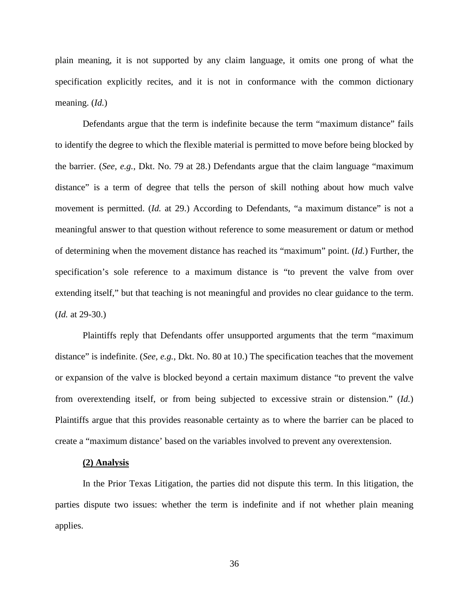plain meaning, it is not supported by any claim language, it omits one prong of what the specification explicitly recites, and it is not in conformance with the common dictionary meaning. (*Id.*)

Defendants argue that the term is indefinite because the term "maximum distance" fails to identify the degree to which the flexible material is permitted to move before being blocked by the barrier. (*See, e.g.*, Dkt. No. 79 at 28.) Defendants argue that the claim language "maximum distance" is a term of degree that tells the person of skill nothing about how much valve movement is permitted. (*Id.* at 29.) According to Defendants, "a maximum distance" is not a meaningful answer to that question without reference to some measurement or datum or method of determining when the movement distance has reached its "maximum" point. (*Id.*) Further, the specification's sole reference to a maximum distance is "to prevent the valve from over extending itself," but that teaching is not meaningful and provides no clear guidance to the term. (*Id.* at 29-30.)

Plaintiffs reply that Defendants offer unsupported arguments that the term "maximum distance" is indefinite. (*See, e.g.*, Dkt. No. 80 at 10.) The specification teaches that the movement or expansion of the valve is blocked beyond a certain maximum distance "to prevent the valve from overextending itself, or from being subjected to excessive strain or distension." (*Id.*) Plaintiffs argue that this provides reasonable certainty as to where the barrier can be placed to create a "maximum distance' based on the variables involved to prevent any overextension.

#### **(2) Analysis**

In the Prior Texas Litigation, the parties did not dispute this term. In this litigation, the parties dispute two issues: whether the term is indefinite and if not whether plain meaning applies.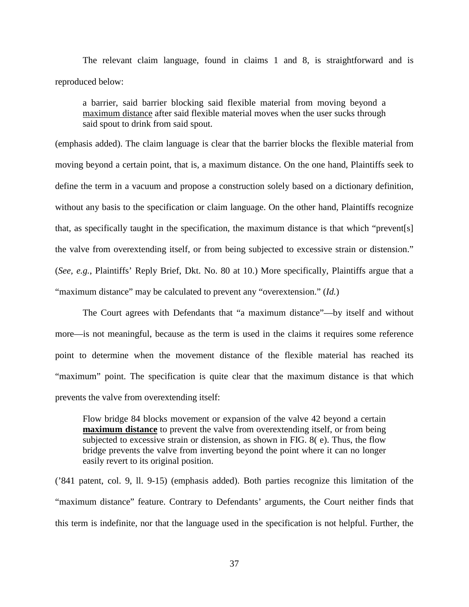The relevant claim language, found in claims 1 and 8, is straightforward and is reproduced below:

a barrier, said barrier blocking said flexible material from moving beyond a maximum distance after said flexible material moves when the user sucks through said spout to drink from said spout.

(emphasis added). The claim language is clear that the barrier blocks the flexible material from moving beyond a certain point, that is, a maximum distance. On the one hand, Plaintiffs seek to define the term in a vacuum and propose a construction solely based on a dictionary definition, without any basis to the specification or claim language. On the other hand, Plaintiffs recognize that, as specifically taught in the specification, the maximum distance is that which "prevent[s] the valve from overextending itself, or from being subjected to excessive strain or distension." (*See, e.g.*, Plaintiffs' Reply Brief, Dkt. No. 80 at 10.) More specifically, Plaintiffs argue that a "maximum distance" may be calculated to prevent any "overextension." (*Id.*)

The Court agrees with Defendants that "a maximum distance"—by itself and without more—is not meaningful, because as the term is used in the claims it requires some reference point to determine when the movement distance of the flexible material has reached its "maximum" point. The specification is quite clear that the maximum distance is that which prevents the valve from overextending itself:

Flow bridge 84 blocks movement or expansion of the valve 42 beyond a certain **maximum distance** to prevent the valve from overextending itself, or from being subjected to excessive strain or distension, as shown in FIG. 8( e). Thus, the flow bridge prevents the valve from inverting beyond the point where it can no longer easily revert to its original position.

('841 patent, col. 9, ll. 9-15) (emphasis added). Both parties recognize this limitation of the "maximum distance" feature. Contrary to Defendants' arguments, the Court neither finds that this term is indefinite, nor that the language used in the specification is not helpful. Further, the

37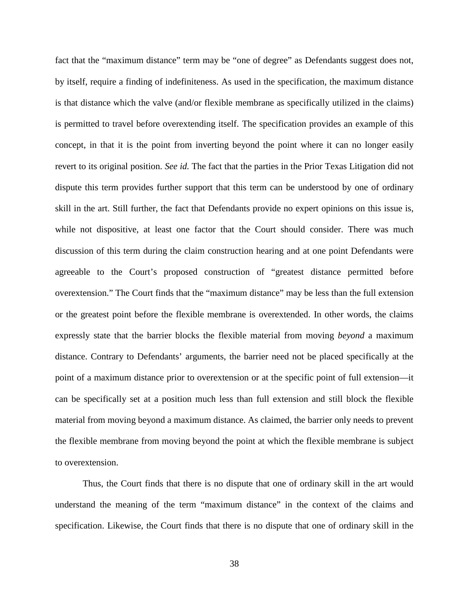fact that the "maximum distance" term may be "one of degree" as Defendants suggest does not, by itself, require a finding of indefiniteness. As used in the specification, the maximum distance is that distance which the valve (and/or flexible membrane as specifically utilized in the claims) is permitted to travel before overextending itself. The specification provides an example of this concept, in that it is the point from inverting beyond the point where it can no longer easily revert to its original position. *See id.* The fact that the parties in the Prior Texas Litigation did not dispute this term provides further support that this term can be understood by one of ordinary skill in the art. Still further, the fact that Defendants provide no expert opinions on this issue is, while not dispositive, at least one factor that the Court should consider. There was much discussion of this term during the claim construction hearing and at one point Defendants were agreeable to the Court's proposed construction of "greatest distance permitted before overextension." The Court finds that the "maximum distance" may be less than the full extension or the greatest point before the flexible membrane is overextended. In other words, the claims expressly state that the barrier blocks the flexible material from moving *beyond* a maximum distance. Contrary to Defendants' arguments, the barrier need not be placed specifically at the point of a maximum distance prior to overextension or at the specific point of full extension—it can be specifically set at a position much less than full extension and still block the flexible material from moving beyond a maximum distance. As claimed, the barrier only needs to prevent the flexible membrane from moving beyond the point at which the flexible membrane is subject to overextension.

Thus, the Court finds that there is no dispute that one of ordinary skill in the art would understand the meaning of the term "maximum distance" in the context of the claims and specification. Likewise, the Court finds that there is no dispute that one of ordinary skill in the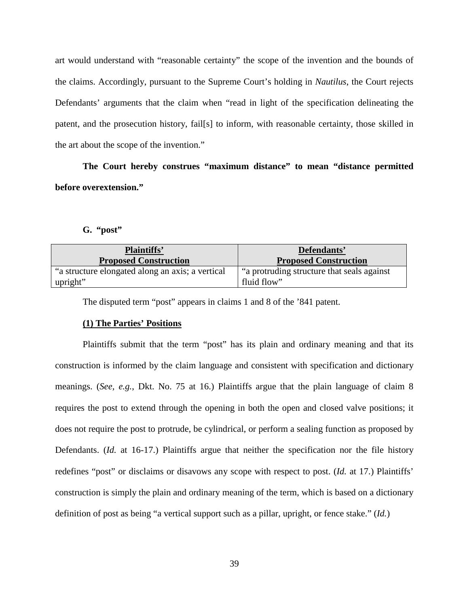art would understand with "reasonable certainty" the scope of the invention and the bounds of the claims. Accordingly, pursuant to the Supreme Court's holding in *Nautilus*, the Court rejects Defendants' arguments that the claim when "read in light of the specification delineating the patent, and the prosecution history, fail[s] to inform, with reasonable certainty, those skilled in the art about the scope of the invention."

**The Court hereby construes "maximum distance" to mean "distance permitted before overextension."** 

## **G. "post"**

| Plaintiffs'                                      | Defendants'                                |
|--------------------------------------------------|--------------------------------------------|
| <b>Proposed Construction</b>                     | <b>Proposed Construction</b>               |
| "a structure elongated along an axis; a vertical | "a protruding structure that seals against |
| upright"                                         | fluid flow"                                |

The disputed term "post" appears in claims 1 and 8 of the '841 patent.

## **(1) The Parties' Positions**

Plaintiffs submit that the term "post" has its plain and ordinary meaning and that its construction is informed by the claim language and consistent with specification and dictionary meanings. (*See, e.g.*, Dkt. No. 75 at 16.) Plaintiffs argue that the plain language of claim 8 requires the post to extend through the opening in both the open and closed valve positions; it does not require the post to protrude, be cylindrical, or perform a sealing function as proposed by Defendants. (*Id.* at 16-17.) Plaintiffs argue that neither the specification nor the file history redefines "post" or disclaims or disavows any scope with respect to post. (*Id.* at 17.) Plaintiffs' construction is simply the plain and ordinary meaning of the term, which is based on a dictionary definition of post as being "a vertical support such as a pillar, upright, or fence stake." (*Id.*)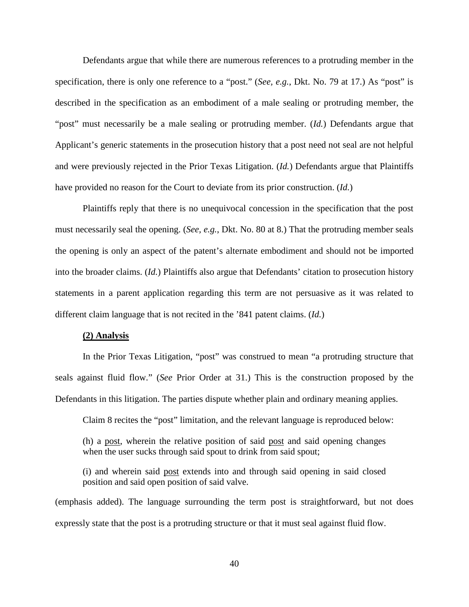Defendants argue that while there are numerous references to a protruding member in the specification, there is only one reference to a "post." (*See, e.g.*, Dkt. No. 79 at 17.) As "post" is described in the specification as an embodiment of a male sealing or protruding member, the "post" must necessarily be a male sealing or protruding member. (*Id.*) Defendants argue that Applicant's generic statements in the prosecution history that a post need not seal are not helpful and were previously rejected in the Prior Texas Litigation. (*Id.*) Defendants argue that Plaintiffs have provided no reason for the Court to deviate from its prior construction. (*Id.*)

Plaintiffs reply that there is no unequivocal concession in the specification that the post must necessarily seal the opening. (*See, e.g.*, Dkt. No. 80 at 8.) That the protruding member seals the opening is only an aspect of the patent's alternate embodiment and should not be imported into the broader claims. (*Id.*) Plaintiffs also argue that Defendants' citation to prosecution history statements in a parent application regarding this term are not persuasive as it was related to different claim language that is not recited in the '841 patent claims. (*Id.*)

## **(2) Analysis**

In the Prior Texas Litigation, "post" was construed to mean "a protruding structure that seals against fluid flow." (*See* Prior Order at 31.) This is the construction proposed by the Defendants in this litigation. The parties dispute whether plain and ordinary meaning applies.

Claim 8 recites the "post" limitation, and the relevant language is reproduced below:

(h) a post, wherein the relative position of said post and said opening changes when the user sucks through said spout to drink from said spout;

(i) and wherein said post extends into and through said opening in said closed position and said open position of said valve.

(emphasis added). The language surrounding the term post is straightforward, but not does expressly state that the post is a protruding structure or that it must seal against fluid flow.

40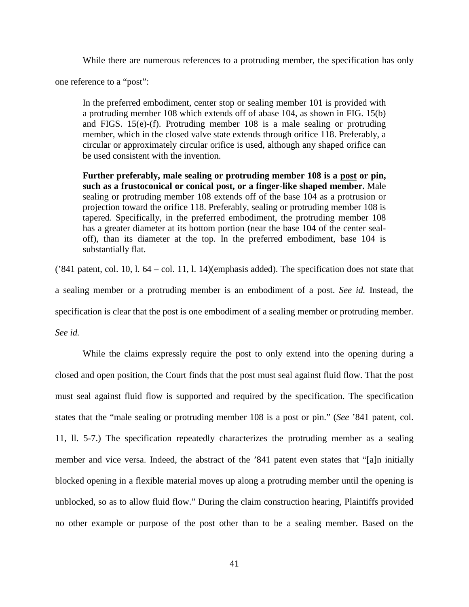While there are numerous references to a protruding member, the specification has only

one reference to a "post":

In the preferred embodiment, center stop or sealing member 101 is provided with a protruding member 108 which extends off of abase 104, as shown in FIG. 15(b) and FIGS. 15(e)-(f). Protruding member 108 is a male sealing or protruding member, which in the closed valve state extends through orifice 118. Preferably, a circular or approximately circular orifice is used, although any shaped orifice can be used consistent with the invention.

**Further preferably, male sealing or protruding member 108 is a post or pin, such as a frustoconical or conical post, or a finger-like shaped member.** Male sealing or protruding member 108 extends off of the base 104 as a protrusion or projection toward the orifice 118. Preferably, sealing or protruding member 108 is tapered. Specifically, in the preferred embodiment, the protruding member 108 has a greater diameter at its bottom portion (near the base 104 of the center sealoff), than its diameter at the top. In the preferred embodiment, base 104 is substantially flat.

('841 patent, col. 10, l. 64 – col. 11, l. 14)(emphasis added). The specification does not state that a sealing member or a protruding member is an embodiment of a post. *See id.* Instead, the specification is clear that the post is one embodiment of a sealing member or protruding member.

*See id.*

While the claims expressly require the post to only extend into the opening during a closed and open position, the Court finds that the post must seal against fluid flow. That the post must seal against fluid flow is supported and required by the specification. The specification states that the "male sealing or protruding member 108 is a post or pin." (*See* '841 patent, col. 11, ll. 5-7.) The specification repeatedly characterizes the protruding member as a sealing member and vice versa. Indeed, the abstract of the '841 patent even states that "[a]n initially blocked opening in a flexible material moves up along a protruding member until the opening is unblocked, so as to allow fluid flow." During the claim construction hearing, Plaintiffs provided no other example or purpose of the post other than to be a sealing member. Based on the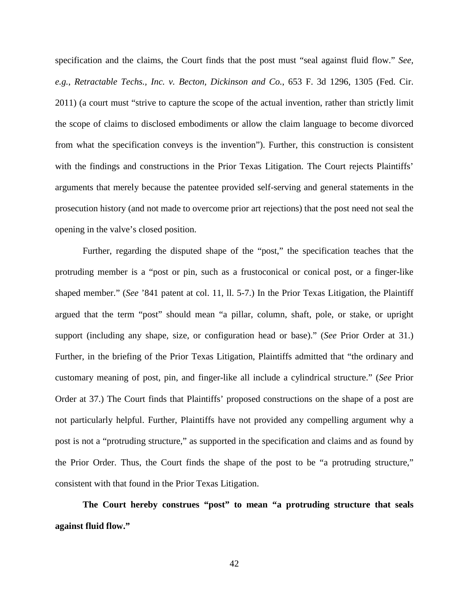specification and the claims, the Court finds that the post must "seal against fluid flow." *See, e.g.*, *Retractable Techs., Inc. v. Becton, Dickinson and Co.*, 653 F. 3d 1296, 1305 (Fed. Cir. 2011) (a court must "strive to capture the scope of the actual invention, rather than strictly limit the scope of claims to disclosed embodiments or allow the claim language to become divorced from what the specification conveys is the invention"). Further, this construction is consistent with the findings and constructions in the Prior Texas Litigation. The Court rejects Plaintiffs' arguments that merely because the patentee provided self-serving and general statements in the prosecution history (and not made to overcome prior art rejections) that the post need not seal the opening in the valve's closed position.

Further, regarding the disputed shape of the "post," the specification teaches that the protruding member is a "post or pin, such as a frustoconical or conical post, or a finger-like shaped member." (*See* '841 patent at col. 11, ll. 5-7.) In the Prior Texas Litigation, the Plaintiff argued that the term "post" should mean "a pillar, column, shaft, pole, or stake, or upright support (including any shape, size, or configuration head or base)." (*See* Prior Order at 31.) Further, in the briefing of the Prior Texas Litigation, Plaintiffs admitted that "the ordinary and customary meaning of post, pin, and finger-like all include a cylindrical structure." (*See* Prior Order at 37.) The Court finds that Plaintiffs' proposed constructions on the shape of a post are not particularly helpful. Further, Plaintiffs have not provided any compelling argument why a post is not a "protruding structure," as supported in the specification and claims and as found by the Prior Order. Thus, the Court finds the shape of the post to be "a protruding structure," consistent with that found in the Prior Texas Litigation.

**The Court hereby construes "post" to mean "a protruding structure that seals against fluid flow."** 

42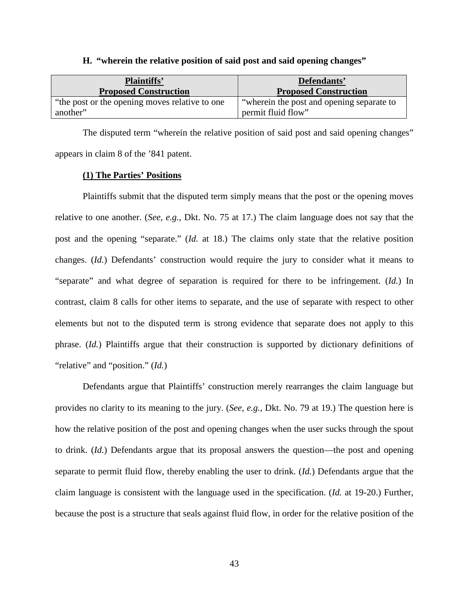| H. "wherein the relative position of said post and said opening changes" |  |  |
|--------------------------------------------------------------------------|--|--|
|--------------------------------------------------------------------------|--|--|

| <b>Plaintiffs'</b>                              | Defendants'                                |
|-------------------------------------------------|--------------------------------------------|
| <b>Proposed Construction</b>                    | <b>Proposed Construction</b>               |
| "the post or the opening moves relative to one" | "wherein the post and opening separate to" |
| another"                                        | permit fluid flow"                         |

The disputed term "wherein the relative position of said post and said opening changes" appears in claim 8 of the '841 patent.

## **(1) The Parties' Positions**

Plaintiffs submit that the disputed term simply means that the post or the opening moves relative to one another. (*See, e.g.*, Dkt. No. 75 at 17.) The claim language does not say that the post and the opening "separate." (*Id.* at 18.) The claims only state that the relative position changes. (*Id.*) Defendants' construction would require the jury to consider what it means to "separate" and what degree of separation is required for there to be infringement. (*Id.*) In contrast, claim 8 calls for other items to separate, and the use of separate with respect to other elements but not to the disputed term is strong evidence that separate does not apply to this phrase. (*Id.*) Plaintiffs argue that their construction is supported by dictionary definitions of "relative" and "position." (*Id.*)

Defendants argue that Plaintiffs' construction merely rearranges the claim language but provides no clarity to its meaning to the jury. (*See, e.g.*, Dkt. No. 79 at 19.) The question here is how the relative position of the post and opening changes when the user sucks through the spout to drink. (*Id.*) Defendants argue that its proposal answers the question—the post and opening separate to permit fluid flow, thereby enabling the user to drink. (*Id.*) Defendants argue that the claim language is consistent with the language used in the specification. (*Id.* at 19-20.) Further, because the post is a structure that seals against fluid flow, in order for the relative position of the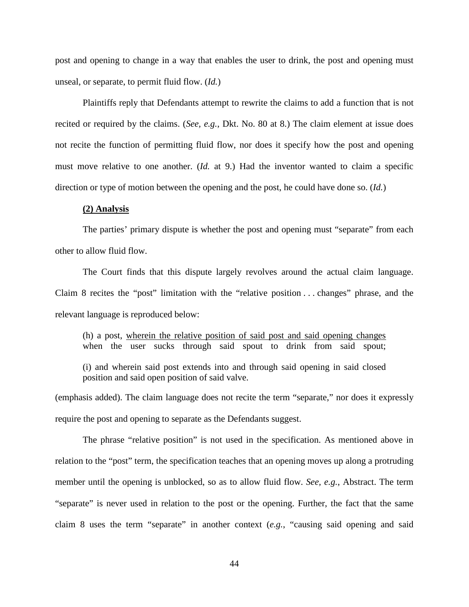post and opening to change in a way that enables the user to drink, the post and opening must unseal, or separate, to permit fluid flow. (*Id.*)

Plaintiffs reply that Defendants attempt to rewrite the claims to add a function that is not recited or required by the claims. (*See, e.g.*, Dkt. No. 80 at 8.) The claim element at issue does not recite the function of permitting fluid flow, nor does it specify how the post and opening must move relative to one another. (*Id.* at 9.) Had the inventor wanted to claim a specific direction or type of motion between the opening and the post, he could have done so. (*Id.*)

## **(2) Analysis**

The parties' primary dispute is whether the post and opening must "separate" from each other to allow fluid flow.

The Court finds that this dispute largely revolves around the actual claim language. Claim 8 recites the "post" limitation with the "relative position . . . changes" phrase, and the relevant language is reproduced below:

(h) a post, wherein the relative position of said post and said opening changes when the user sucks through said spout to drink from said spout;

(i) and wherein said post extends into and through said opening in said closed position and said open position of said valve.

(emphasis added). The claim language does not recite the term "separate," nor does it expressly require the post and opening to separate as the Defendants suggest.

The phrase "relative position" is not used in the specification. As mentioned above in relation to the "post" term, the specification teaches that an opening moves up along a protruding member until the opening is unblocked, so as to allow fluid flow. *See, e.g.*, Abstract. The term "separate" is never used in relation to the post or the opening. Further, the fact that the same claim 8 uses the term "separate" in another context (*e.g.*, "causing said opening and said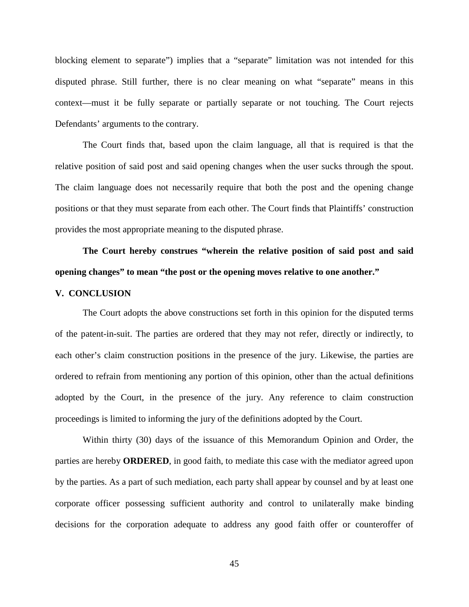blocking element to separate") implies that a "separate" limitation was not intended for this disputed phrase. Still further, there is no clear meaning on what "separate" means in this context—must it be fully separate or partially separate or not touching. The Court rejects Defendants' arguments to the contrary.

The Court finds that, based upon the claim language, all that is required is that the relative position of said post and said opening changes when the user sucks through the spout. The claim language does not necessarily require that both the post and the opening change positions or that they must separate from each other. The Court finds that Plaintiffs' construction provides the most appropriate meaning to the disputed phrase.

# **The Court hereby construes "wherein the relative position of said post and said opening changes" to mean "the post or the opening moves relative to one another."**

## **V. CONCLUSION**

The Court adopts the above constructions set forth in this opinion for the disputed terms of the patent-in-suit. The parties are ordered that they may not refer, directly or indirectly, to each other's claim construction positions in the presence of the jury. Likewise, the parties are ordered to refrain from mentioning any portion of this opinion, other than the actual definitions adopted by the Court, in the presence of the jury. Any reference to claim construction proceedings is limited to informing the jury of the definitions adopted by the Court.

Within thirty (30) days of the issuance of this Memorandum Opinion and Order, the parties are hereby **ORDERED**, in good faith, to mediate this case with the mediator agreed upon by the parties. As a part of such mediation, each party shall appear by counsel and by at least one corporate officer possessing sufficient authority and control to unilaterally make binding decisions for the corporation adequate to address any good faith offer or counteroffer of